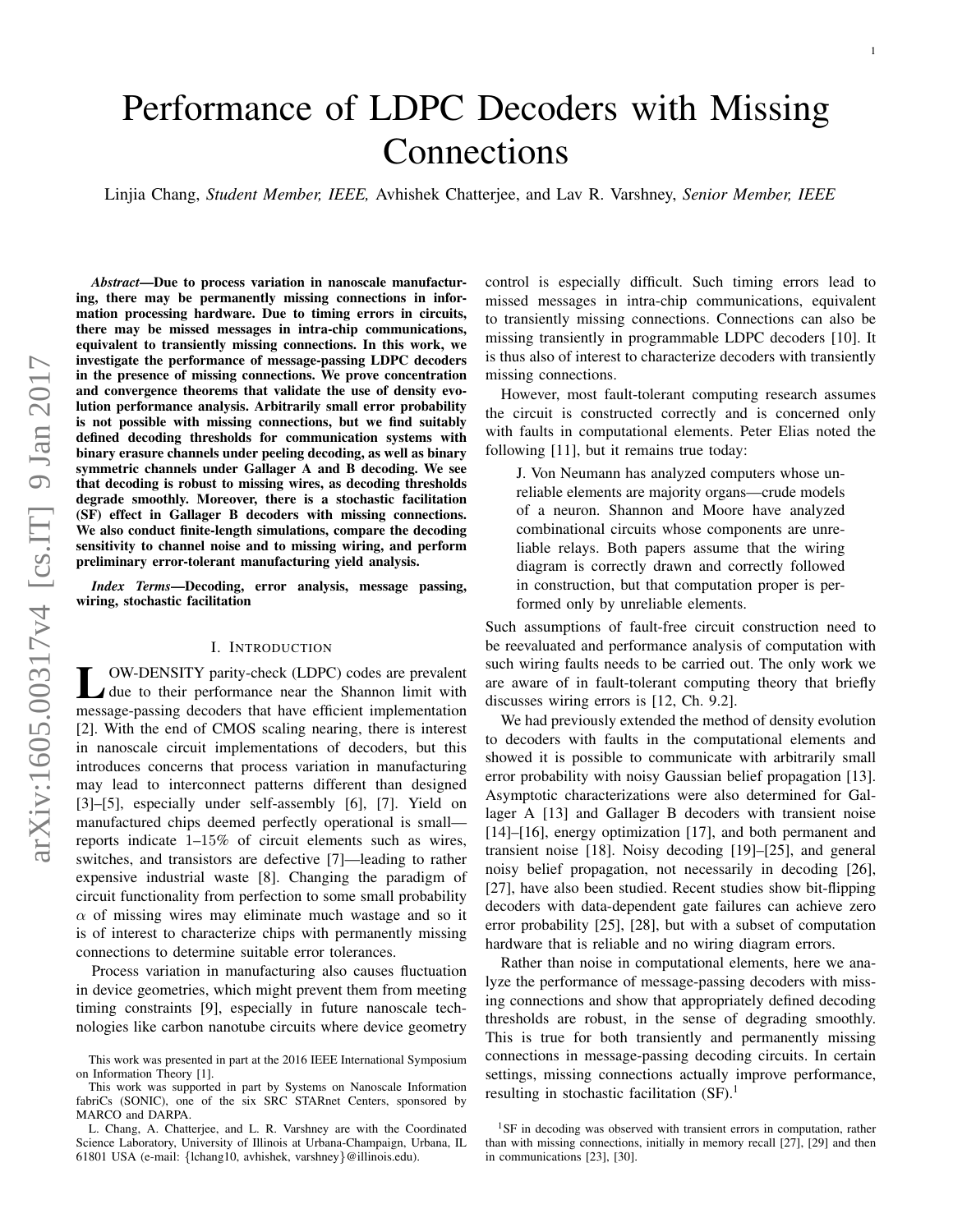# Performance of LDPC Decoders with Missing Connections

Linjia Chang, *Student Member, IEEE,* Avhishek Chatterjee, and Lav R. Varshney, *Senior Member, IEEE*

*Abstract*—Due to process variation in nanoscale manufacturing, there may be permanently missing connections in information processing hardware. Due to timing errors in circuits, there may be missed messages in intra-chip communications, equivalent to transiently missing connections. In this work, we investigate the performance of message-passing LDPC decoders in the presence of missing connections. We prove concentration and convergence theorems that validate the use of density evolution performance analysis. Arbitrarily small error probability is not possible with missing connections, but we find suitably defined decoding thresholds for communication systems with binary erasure channels under peeling decoding, as well as binary symmetric channels under Gallager A and B decoding. We see that decoding is robust to missing wires, as decoding thresholds degrade smoothly. Moreover, there is a stochastic facilitation (SF) effect in Gallager B decoders with missing connections. We also conduct finite-length simulations, compare the decoding sensitivity to channel noise and to missing wiring, and perform preliminary error-tolerant manufacturing yield analysis.

*Index Terms*—Decoding, error analysis, message passing, wiring, stochastic facilitation

# I. INTRODUCTION

U. OW-DENSITY parity-check (LDPC) codes are prevalent<br>due to their performance near the Shannon limit with OW-DENSITY parity-check (LDPC) codes are prevalent message-passing decoders that have efficient implementation [2]. With the end of CMOS scaling nearing, there is interest in nanoscale circuit implementations of decoders, but this introduces concerns that process variation in manufacturing may lead to interconnect patterns different than designed [3]–[5], especially under self-assembly [6], [7]. Yield on manufactured chips deemed perfectly operational is small reports indicate 1–15% of circuit elements such as wires, switches, and transistors are defective [7]—leading to rather expensive industrial waste [8]. Changing the paradigm of circuit functionality from perfection to some small probability  $\alpha$  of missing wires may eliminate much wastage and so it is of interest to characterize chips with permanently missing connections to determine suitable error tolerances.

Process variation in manufacturing also causes fluctuation in device geometries, which might prevent them from meeting timing constraints [9], especially in future nanoscale technologies like carbon nanotube circuits where device geometry

control is especially difficult. Such timing errors lead to missed messages in intra-chip communications, equivalent to transiently missing connections. Connections can also be missing transiently in programmable LDPC decoders [10]. It is thus also of interest to characterize decoders with transiently missing connections.

However, most fault-tolerant computing research assumes the circuit is constructed correctly and is concerned only with faults in computational elements. Peter Elias noted the following [11], but it remains true today:

J. Von Neumann has analyzed computers whose unreliable elements are majority organs—crude models of a neuron. Shannon and Moore have analyzed combinational circuits whose components are unreliable relays. Both papers assume that the wiring diagram is correctly drawn and correctly followed in construction, but that computation proper is performed only by unreliable elements.

Such assumptions of fault-free circuit construction need to be reevaluated and performance analysis of computation with such wiring faults needs to be carried out. The only work we are aware of in fault-tolerant computing theory that briefly discusses wiring errors is [12, Ch. 9.2].

We had previously extended the method of density evolution to decoders with faults in the computational elements and showed it is possible to communicate with arbitrarily small error probability with noisy Gaussian belief propagation [13]. Asymptotic characterizations were also determined for Gallager A [13] and Gallager B decoders with transient noise [14]–[16], energy optimization [17], and both permanent and transient noise [18]. Noisy decoding [19]–[25], and general noisy belief propagation, not necessarily in decoding [26], [27], have also been studied. Recent studies show bit-flipping decoders with data-dependent gate failures can achieve zero error probability [25], [28], but with a subset of computation hardware that is reliable and no wiring diagram errors.

Rather than noise in computational elements, here we analyze the performance of message-passing decoders with missing connections and show that appropriately defined decoding thresholds are robust, in the sense of degrading smoothly. This is true for both transiently and permanently missing connections in message-passing decoding circuits. In certain settings, missing connections actually improve performance, resulting in stochastic facilitation  $(SF)^1$ .

This work was presented in part at the 2016 IEEE International Symposium on Information Theory [1].

This work was supported in part by Systems on Nanoscale Information fabriCs (SONIC), one of the six SRC STARnet Centers, sponsored by MARCO and DARPA.

L. Chang, A. Chatterjee, and L. R. Varshney are with the Coordinated Science Laboratory, University of Illinois at Urbana-Champaign, Urbana, IL 61801 USA (e-mail: {lchang10, avhishek, varshney}@illinois.edu).

 $1$ SF in decoding was observed with transient errors in computation, rather than with missing connections, initially in memory recall [27], [29] and then in communications [23], [30].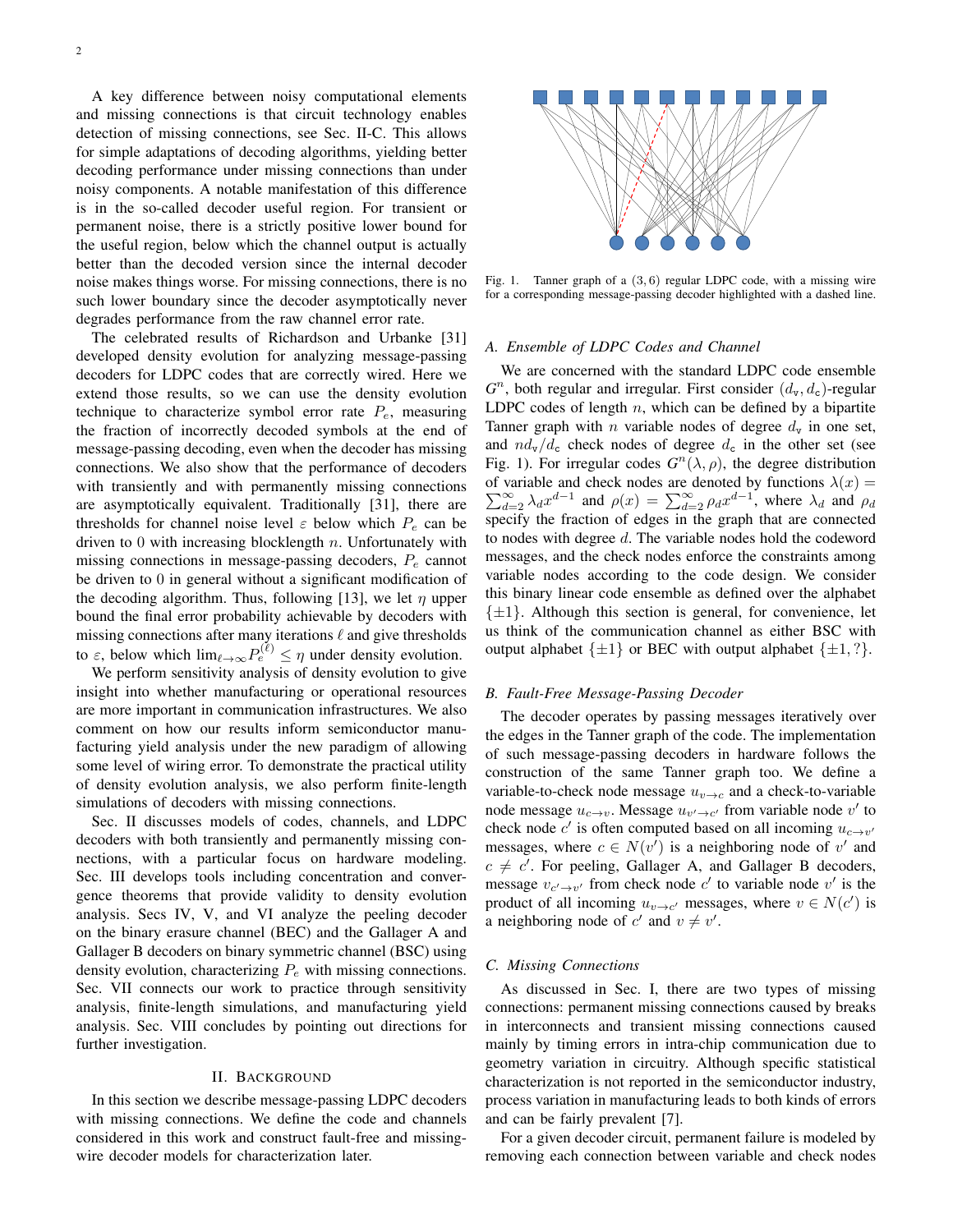A key difference between noisy computational elements and missing connections is that circuit technology enables detection of missing connections, see Sec. II-C. This allows for simple adaptations of decoding algorithms, yielding better decoding performance under missing connections than under noisy components. A notable manifestation of this difference is in the so-called decoder useful region. For transient or permanent noise, there is a strictly positive lower bound for the useful region, below which the channel output is actually better than the decoded version since the internal decoder noise makes things worse. For missing connections, there is no such lower boundary since the decoder asymptotically never degrades performance from the raw channel error rate.

The celebrated results of Richardson and Urbanke [31] developed density evolution for analyzing message-passing decoders for LDPC codes that are correctly wired. Here we extend those results, so we can use the density evolution technique to characterize symbol error rate  $P_e$ , measuring the fraction of incorrectly decoded symbols at the end of message-passing decoding, even when the decoder has missing connections. We also show that the performance of decoders with transiently and with permanently missing connections are asymptotically equivalent. Traditionally [31], there are thresholds for channel noise level  $\varepsilon$  below which  $P_e$  can be driven to  $0$  with increasing blocklength  $n$ . Unfortunately with missing connections in message-passing decoders,  $P_e$  cannot be driven to 0 in general without a significant modification of the decoding algorithm. Thus, following [13], we let  $\eta$  upper bound the final error probability achievable by decoders with missing connections after many iterations  $\ell$  and give thresholds to  $\varepsilon$ , below which  $\lim_{\ell \to \infty} P_e^{(\ell)} \leq \eta$  under density evolution.

We perform sensitivity analysis of density evolution to give insight into whether manufacturing or operational resources are more important in communication infrastructures. We also comment on how our results inform semiconductor manufacturing yield analysis under the new paradigm of allowing some level of wiring error. To demonstrate the practical utility of density evolution analysis, we also perform finite-length simulations of decoders with missing connections.

Sec. II discusses models of codes, channels, and LDPC decoders with both transiently and permanently missing connections, with a particular focus on hardware modeling. Sec. III develops tools including concentration and convergence theorems that provide validity to density evolution analysis. Secs IV, V, and VI analyze the peeling decoder on the binary erasure channel (BEC) and the Gallager A and Gallager B decoders on binary symmetric channel (BSC) using density evolution, characterizing  $P_e$  with missing connections. Sec. VII connects our work to practice through sensitivity analysis, finite-length simulations, and manufacturing yield analysis. Sec. VIII concludes by pointing out directions for further investigation.

## II. BACKGROUND

In this section we describe message-passing LDPC decoders with missing connections. We define the code and channels considered in this work and construct fault-free and missingwire decoder models for characterization later.



Fig. 1. Tanner graph of a  $(3, 6)$  regular LDPC code, with a missing wire for a corresponding message-passing decoder highlighted with a dashed line.

#### *A. Ensemble of LDPC Codes and Channel*

We are concerned with the standard LDPC code ensemble  $G<sup>n</sup>$ , both regular and irregular. First consider  $(d_v, d_c)$ -regular LDPC codes of length  $n$ , which can be defined by a bipartite Tanner graph with *n* variable nodes of degree  $d_v$  in one set, and  $nd_{\rm v}/d_{\rm c}$  check nodes of degree  $d_{\rm c}$  in the other set (see Fig. 1). For irregular codes  $G<sup>n</sup>(\lambda, \rho)$ , the degree distribution of variable and check nodes are denoted by functions  $\lambda(x) =$  $\sum_{d=2}^{\infty} \lambda_d x^{d-1}$  and  $\rho(x) = \sum_{d=2}^{\infty} \rho_d x^{d-1}$ , where  $\lambda_d$  and  $\rho_d$ specify the fraction of edges in the graph that are connected to nodes with degree d. The variable nodes hold the codeword messages, and the check nodes enforce the constraints among variable nodes according to the code design. We consider this binary linear code ensemble as defined over the alphabet  $\{\pm 1\}$ . Although this section is general, for convenience, let us think of the communication channel as either BSC with output alphabet  $\{\pm 1\}$  or BEC with output alphabet  $\{\pm 1, ?\}$ .

#### *B. Fault-Free Message-Passing Decoder*

The decoder operates by passing messages iteratively over the edges in the Tanner graph of the code. The implementation of such message-passing decoders in hardware follows the construction of the same Tanner graph too. We define a variable-to-check node message  $u_{v\rightarrow c}$  and a check-to-variable node message  $u_{c\to v}$ . Message  $u_{v'\to c'}$  from variable node  $v'$  to check node  $c'$  is often computed based on all incoming  $u_{c \to v'}$ messages, where  $c \in N(v')$  is a neighboring node of v' and  $c \neq c'$ . For peeling, Gallager A, and Gallager B decoders, message  $v_{c' \to v'}$  from check node c' to variable node v' is the product of all incoming  $u_{v\to c'}$  messages, where  $v \in N(c')$  is a neighboring node of c' and  $v \neq v'$ .

## *C. Missing Connections*

As discussed in Sec. I, there are two types of missing connections: permanent missing connections caused by breaks in interconnects and transient missing connections caused mainly by timing errors in intra-chip communication due to geometry variation in circuitry. Although specific statistical characterization is not reported in the semiconductor industry, process variation in manufacturing leads to both kinds of errors and can be fairly prevalent [7].

For a given decoder circuit, permanent failure is modeled by removing each connection between variable and check nodes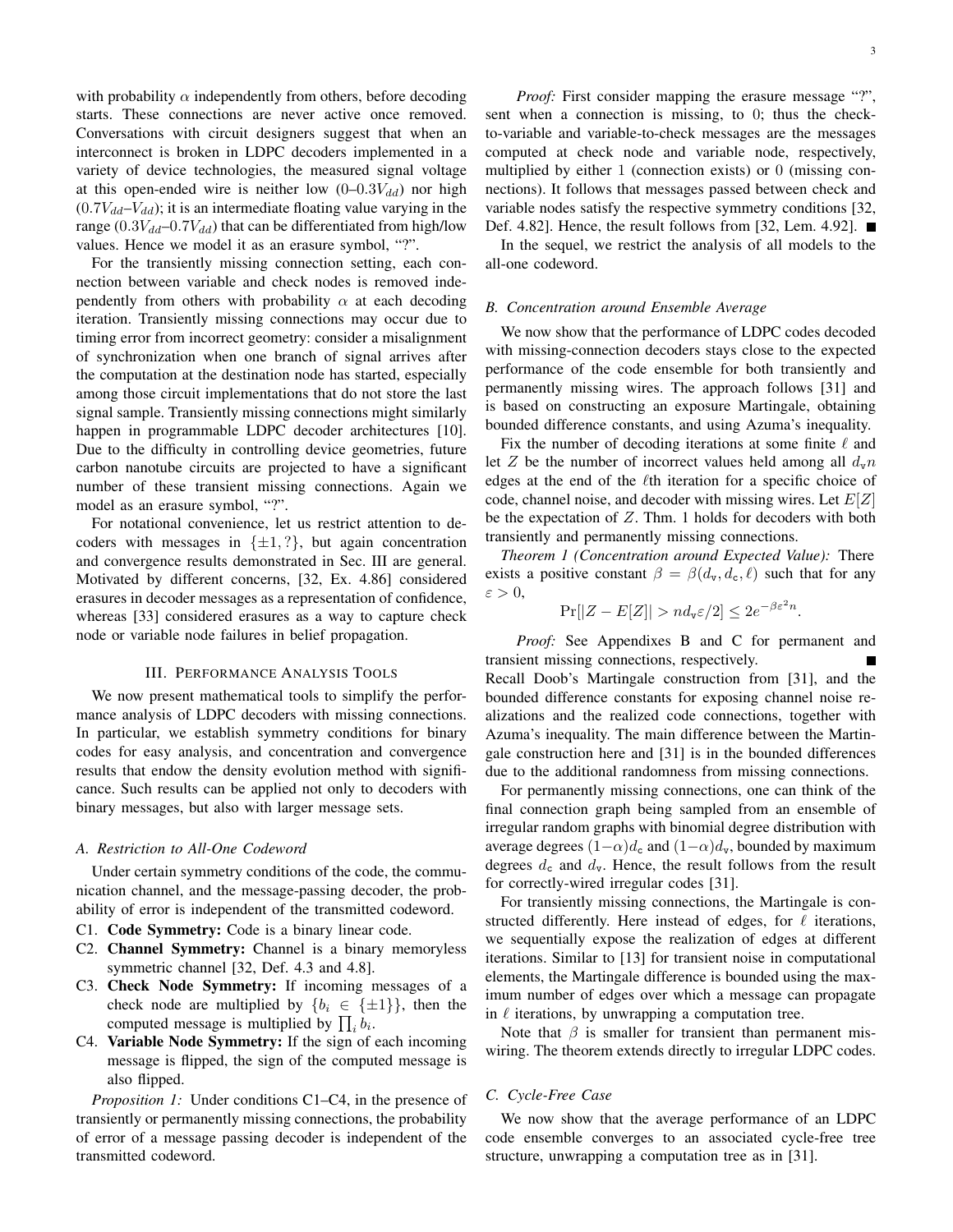with probability  $\alpha$  independently from others, before decoding starts. These connections are never active once removed. Conversations with circuit designers suggest that when an interconnect is broken in LDPC decoders implemented in a variety of device technologies, the measured signal voltage at this open-ended wire is neither low  $(0-0.3V_{dd})$  nor high  $(0.7V_{dd}-V_{dd})$ ; it is an intermediate floating value varying in the range  $(0.3V_{dd}$ –0.7 $V_{dd}$ ) that can be differentiated from high/low values. Hence we model it as an erasure symbol, "?".

For the transiently missing connection setting, each connection between variable and check nodes is removed independently from others with probability  $\alpha$  at each decoding iteration. Transiently missing connections may occur due to timing error from incorrect geometry: consider a misalignment of synchronization when one branch of signal arrives after the computation at the destination node has started, especially among those circuit implementations that do not store the last signal sample. Transiently missing connections might similarly happen in programmable LDPC decoder architectures [10]. Due to the difficulty in controlling device geometries, future carbon nanotube circuits are projected to have a significant number of these transient missing connections. Again we model as an erasure symbol, "?".

For notational convenience, let us restrict attention to decoders with messages in  $\{\pm 1,?\}$ , but again concentration and convergence results demonstrated in Sec. III are general. Motivated by different concerns, [32, Ex. 4.86] considered erasures in decoder messages as a representation of confidence, whereas [33] considered erasures as a way to capture check node or variable node failures in belief propagation.

# III. PERFORMANCE ANALYSIS TOOLS

We now present mathematical tools to simplify the performance analysis of LDPC decoders with missing connections. In particular, we establish symmetry conditions for binary codes for easy analysis, and concentration and convergence results that endow the density evolution method with significance. Such results can be applied not only to decoders with binary messages, but also with larger message sets.

#### *A. Restriction to All-One Codeword*

Under certain symmetry conditions of the code, the communication channel, and the message-passing decoder, the probability of error is independent of the transmitted codeword.

- C1. Code Symmetry: Code is a binary linear code.
- C2. Channel Symmetry: Channel is a binary memoryless symmetric channel [32, Def. 4.3 and 4.8].
- C3. Check Node Symmetry: If incoming messages of a check node are multiplied by  ${b_i \in {\pm 1}}$ , then the computed message is multiplied by  $\prod_i b_i$ .
- C4. Variable Node Symmetry: If the sign of each incoming message is flipped, the sign of the computed message is also flipped.

*Proposition 1:* Under conditions C1–C4, in the presence of transiently or permanently missing connections, the probability of error of a message passing decoder is independent of the transmitted codeword.

*Proof:* First consider mapping the erasure message "?", sent when a connection is missing, to 0; thus the checkto-variable and variable-to-check messages are the messages computed at check node and variable node, respectively, multiplied by either 1 (connection exists) or 0 (missing connections). It follows that messages passed between check and variable nodes satisfy the respective symmetry conditions [32, Def. 4.82]. Hence, the result follows from [32, Lem. 4.92]. ■

In the sequel, we restrict the analysis of all models to the all-one codeword.

## *B. Concentration around Ensemble Average*

We now show that the performance of LDPC codes decoded with missing-connection decoders stays close to the expected performance of the code ensemble for both transiently and permanently missing wires. The approach follows [31] and is based on constructing an exposure Martingale, obtaining bounded difference constants, and using Azuma's inequality.

Fix the number of decoding iterations at some finite  $\ell$  and let Z be the number of incorrect values held among all  $d_v n$ edges at the end of the  $\ell$ th iteration for a specific choice of code, channel noise, and decoder with missing wires. Let  $E[Z]$ be the expectation of  $Z$ . Thm. 1 holds for decoders with both transiently and permanently missing connections.

*Theorem 1 (Concentration around Expected Value):* There exists a positive constant  $\beta = \beta(d_v, d_c, \ell)$  such that for any  $\varepsilon > 0$ ,

$$
\Pr[|Z - E[Z]| > nd_{\mathbf{v}} \varepsilon/2] \le 2e^{-\beta \varepsilon^2 n}.
$$

*Proof:* See Appendixes B and C for permanent and transient missing connections, respectively. Recall Doob's Martingale construction from [31], and the bounded difference constants for exposing channel noise realizations and the realized code connections, together with Azuma's inequality. The main difference between the Martingale construction here and [31] is in the bounded differences due to the additional randomness from missing connections.

For permanently missing connections, one can think of the final connection graph being sampled from an ensemble of irregular random graphs with binomial degree distribution with average degrees  $(1-\alpha)d_c$  and  $(1-\alpha)d_v$ , bounded by maximum degrees  $d_c$  and  $d_v$ . Hence, the result follows from the result for correctly-wired irregular codes [31].

For transiently missing connections, the Martingale is constructed differently. Here instead of edges, for  $\ell$  iterations, we sequentially expose the realization of edges at different iterations. Similar to [13] for transient noise in computational elements, the Martingale difference is bounded using the maximum number of edges over which a message can propagate in  $\ell$  iterations, by unwrapping a computation tree.

Note that  $\beta$  is smaller for transient than permanent miswiring. The theorem extends directly to irregular LDPC codes.

# *C. Cycle-Free Case*

We now show that the average performance of an LDPC code ensemble converges to an associated cycle-free tree structure, unwrapping a computation tree as in [31].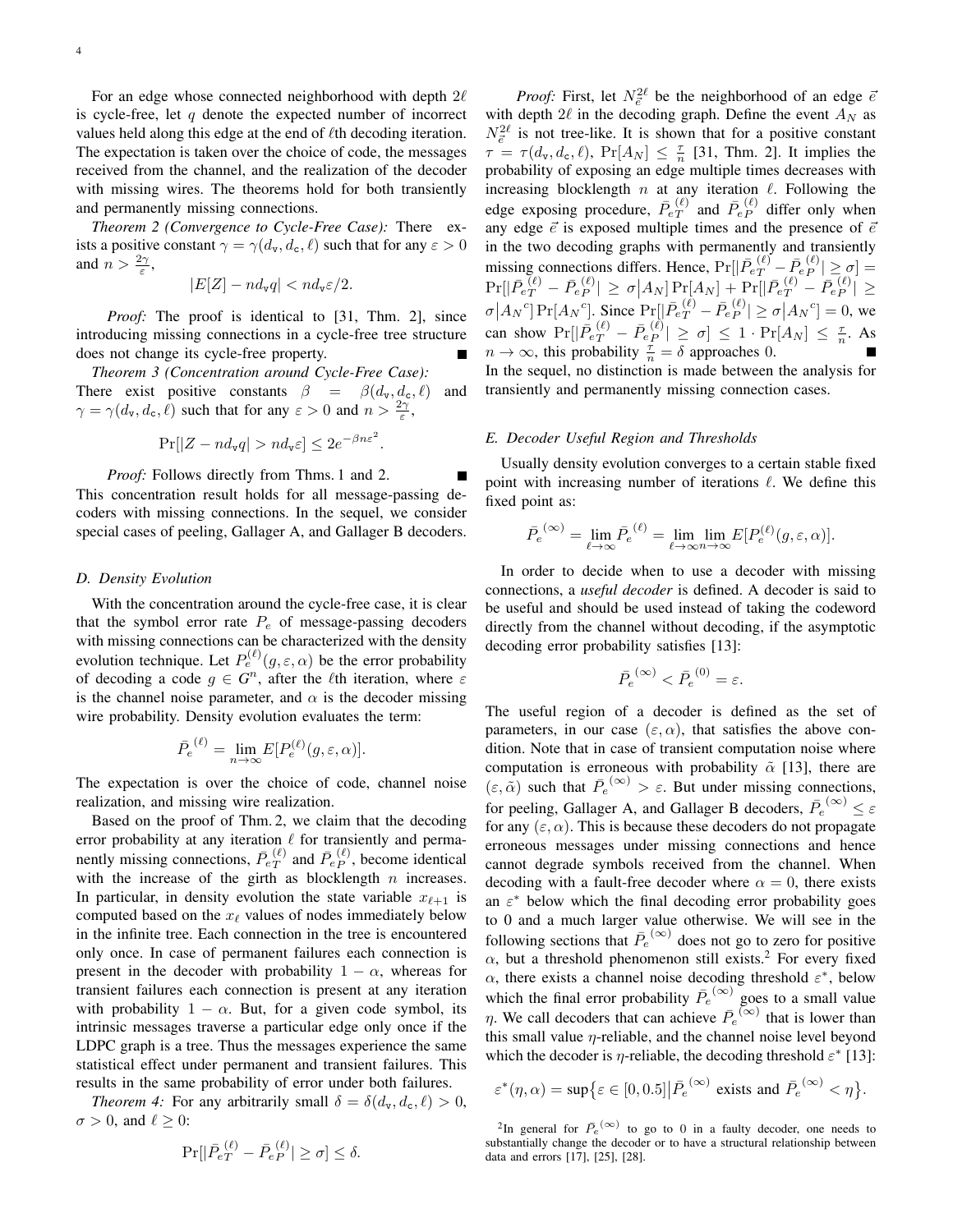For an edge whose connected neighborhood with depth  $2\ell$ is cycle-free, let q denote the expected number of incorrect values held along this edge at the end of  $\ell$ th decoding iteration. The expectation is taken over the choice of code, the messages received from the channel, and the realization of the decoder with missing wires. The theorems hold for both transiently and permanently missing connections.

*Theorem 2 (Convergence to Cycle-Free Case):* There exists a positive constant  $\gamma = \gamma(d_v, d_c, \ell)$  such that for any  $\varepsilon > 0$ and  $n > \frac{2\gamma}{\varepsilon}$ ,

$$
|E[Z] - nd_{\mathbf{v}}q| < nd_{\mathbf{v}}\varepsilon/2.
$$

*Proof:* The proof is identical to [31, Thm. 2], since introducing missing connections in a cycle-free tree structure does not change its cycle-free property.

*Theorem 3 (Concentration around Cycle-Free Case):* There exist positive constants  $\beta = \beta(d_v, d_c, \ell)$  and  $\gamma = \gamma(d_{\text{v}}, d_{\text{c}}, \ell)$  such that for any  $\varepsilon > 0$  and  $n > \frac{2\gamma}{\varepsilon}$ ,

$$
\Pr[|Z - nd_{\tt v}q| > nd_{\tt v}\varepsilon] \leq 2e^{-\beta n \varepsilon^2}.
$$

*Proof:* Follows directly from Thms. 1 and 2. This concentration result holds for all message-passing decoders with missing connections. In the sequel, we consider special cases of peeling, Gallager A, and Gallager B decoders.

#### *D. Density Evolution*

With the concentration around the cycle-free case, it is clear that the symbol error rate  $P_e$  of message-passing decoders with missing connections can be characterized with the density evolution technique. Let  $P_e^{(\ell)}(g,\varepsilon,\alpha)$  be the error probability of decoding a code  $g \in G<sup>n</sup>$ , after the *l*<sup>th</sup> iteration, where  $\varepsilon$ is the channel noise parameter, and  $\alpha$  is the decoder missing wire probability. Density evolution evaluates the term:

$$
\bar{P}_e^{(\ell)} = \lim_{n \to \infty} E[P_e^{(\ell)}(g, \varepsilon, \alpha)].
$$

The expectation is over the choice of code, channel noise realization, and missing wire realization.

Based on the proof of Thm. 2, we claim that the decoding error probability at any iteration  $\ell$  for transiently and permanently missing connections,  $\bar{P}_{eT}^{(\ell)}$  $T(T^{(\ell)}$  and  $\bar{P}_{e}^{(\ell)}$ , become identical with the increase of the girth as blocklength  $n$  increases. In particular, in density evolution the state variable  $x_{\ell+1}$  is computed based on the  $x_\ell$  values of nodes immediately below in the infinite tree. Each connection in the tree is encountered only once. In case of permanent failures each connection is present in the decoder with probability  $1 - \alpha$ , whereas for transient failures each connection is present at any iteration with probability  $1 - \alpha$ . But, for a given code symbol, its intrinsic messages traverse a particular edge only once if the LDPC graph is a tree. Thus the messages experience the same statistical effect under permanent and transient failures. This results in the same probability of error under both failures.

*Theorem 4:* For any arbitrarily small  $\delta = \delta(d_v, d_c, \ell) > 0$ ,  $\sigma > 0$ , and  $\ell \geq 0$ :

$$
\Pr[|\bar{P}_{eT}^{(\ell)} - \bar{P}_{eP}^{(\ell)}| \ge \sigma] \le \delta.
$$

*Proof:* First, let  $N_{\vec{e}}^{2\ell}$  be the neighborhood of an edge  $\bar{e}$ with depth  $2\ell$  in the decoding graph. Define the event  $A_N$  as  $N_{\vec{e}}^{2\ell}$  is not tree-like. It is shown that for a positive constant  $\tau = \tau(d_{\text{v}}, d_{\text{c}}, \ell)$ ,  $\Pr[A_N] \leq \frac{\tau}{n}$  [31, Thm. 2]. It implies the probability of exposing an edge multiple times decreases with increasing blocklength  $n$  at any iteration  $\ell$ . Following the edge exposing procedure,  $\bar{P}_{eT}^{(\ell)}$  $\overline{P}^{(\ell)}_{P}$  and  $\overline{P}^{(\ell)}_{e}$  differ only when any edge  $\vec{e}$  is exposed multiple times and the presence of  $\vec{e}$ in the two decoding graphs with permanently and transiently missing connections differs. Hence,  $Pr[|\bar{P}_{eT}^{(\ell)} - \bar{P}_{eP}^{(\ell)}| \ge \sigma] =$  $\Pr[|\bar{P_{eT}^{(\ell)}} - \bar{P_{eP}^{(\ell)}}| \geq \sigma \big| A_N] \Pr[ A_N ] + \Pr[|\bar{P_{eT}^{(\ell)}} - \bar{P_{eP}^{(\ell)}}| \geq 0]$  $\sigma |A_N^c| \Pr[A_N^c]$ . Since  $\Pr[|\bar{P}_e^{(\ell)} - \bar{P}_e^{(\ell)}| \ge \sigma |A_N^c] = 0$ , we can show  $Pr[|\bar{P}_{eT}^{(\ell)} - \bar{P}_{eP}^{(\ell)}| \ge \sigma] \le 1 \cdot Pr[A_N] \le \frac{\tau}{n}$ . As  $n \to \infty$ , this probability  $\frac{\tau}{n} = \delta$  approaches 0. In the sequel, no distinction is made between the analysis for transiently and permanently missing connection cases.

#### *E. Decoder Useful Region and Thresholds*

Usually density evolution converges to a certain stable fixed point with increasing number of iterations  $\ell$ . We define this fixed point as:

$$
\bar{P_e}^{(\infty)} = \lim_{\ell \to \infty} \bar{P_e}^{(\ell)} = \lim_{\ell \to \infty} \lim_{n \to \infty} E[P_e^{(\ell)}(g, \varepsilon, \alpha)].
$$

In order to decide when to use a decoder with missing connections, a *useful decoder* is defined. A decoder is said to be useful and should be used instead of taking the codeword directly from the channel without decoding, if the asymptotic decoding error probability satisfies [13]:

$$
\bar{P_e}^{(\infty)} < \bar{P_e}^{(0)} = \varepsilon.
$$

The useful region of a decoder is defined as the set of parameters, in our case  $(\varepsilon, \alpha)$ , that satisfies the above condition. Note that in case of transient computation noise where computation is erroneous with probability  $\tilde{\alpha}$  [13], there are  $(\varepsilon, \tilde{\alpha})$  such that  $\overline{P}_e^{(\infty)} > \varepsilon$ . But under missing connections, for peeling, Gallager A, and Gallager B decoders,  $\overline{P}_e^{(\infty)} \leq \varepsilon$ for any  $(\varepsilon, \alpha)$ . This is because these decoders do not propagate erroneous messages under missing connections and hence cannot degrade symbols received from the channel. When decoding with a fault-free decoder where  $\alpha = 0$ , there exists an  $\varepsilon^*$  below which the final decoding error probability goes to 0 and a much larger value otherwise. We will see in the following sections that  $\overline{P}_e^{(\infty)}$  does not go to zero for positive  $\alpha$ , but a threshold phenomenon still exists.<sup>2</sup> For every fixed  $\alpha$ , there exists a channel noise decoding threshold  $\varepsilon^*$ , below which the final error probability  $\overline{P}_e^{(\infty)}$  goes to a small value  $\eta$ . We call decoders that can achieve  $\bar{P}_e^{(\infty)}$  that is lower than this small value  $\eta$ -reliable, and the channel noise level beyond which the decoder is  $\eta$ -reliable, the decoding threshold  $\varepsilon^*$  [13]:

$$
\varepsilon^*(\eta,\alpha) = \sup \bigl\{ \varepsilon \in [0,0.5] \big| \bar{P}_e^{(\infty)} \text{ exists and } \bar{P}_e^{(\infty)} < \eta \bigr\}.
$$

<sup>2</sup>In general for  $\overline{P}_e^{(\infty)}$  to go to 0 in a faulty decoder, one needs to substantially change the decoder or to have a structural relationship between data and errors [17], [25], [28].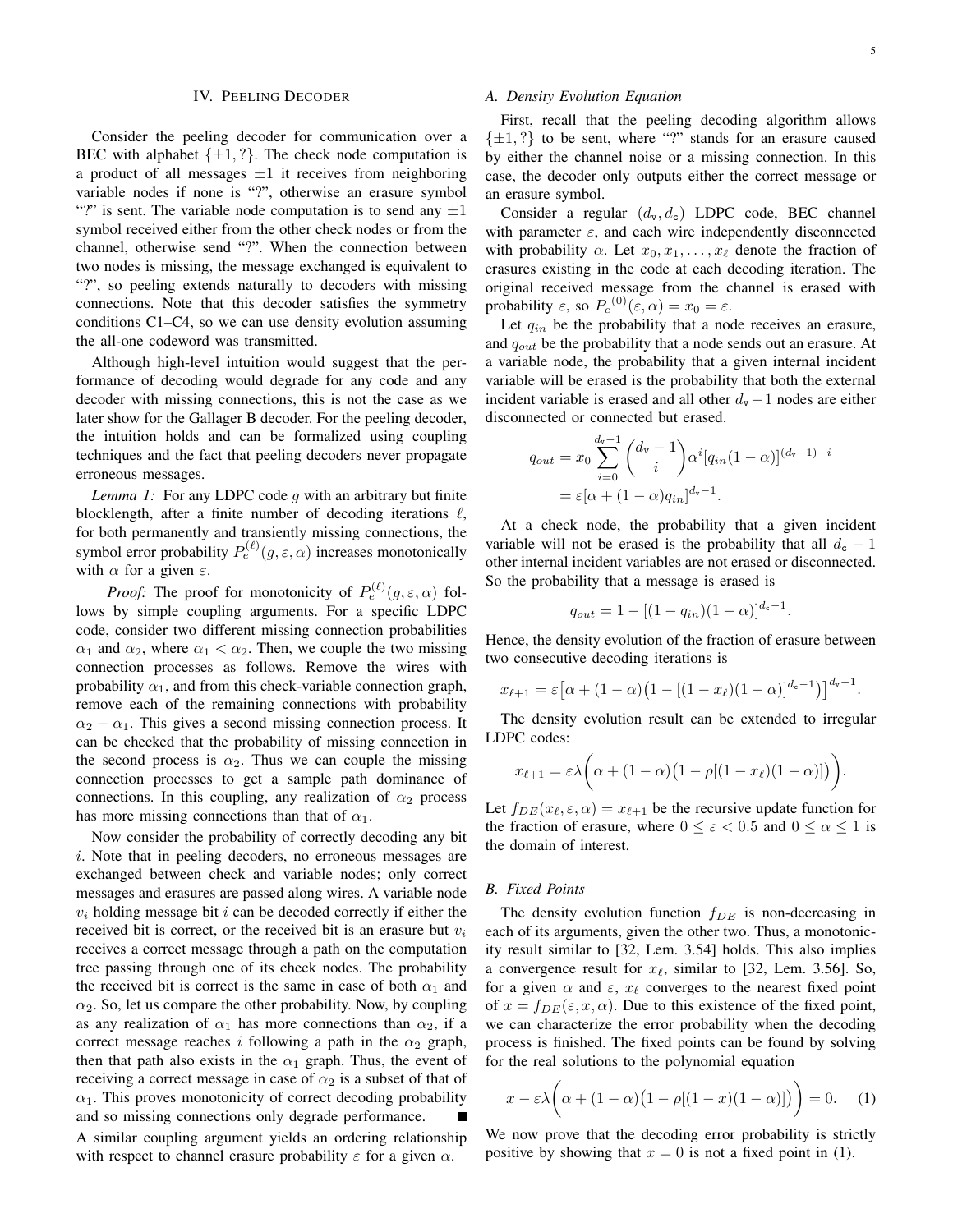#### IV. PEELING DECODER

Consider the peeling decoder for communication over a BEC with alphabet  $\{\pm 1,?\}$ . The check node computation is a product of all messages  $\pm 1$  it receives from neighboring variable nodes if none is "?", otherwise an erasure symbol "?" is sent. The variable node computation is to send any  $\pm 1$ symbol received either from the other check nodes or from the channel, otherwise send "?". When the connection between two nodes is missing, the message exchanged is equivalent to "?", so peeling extends naturally to decoders with missing connections. Note that this decoder satisfies the symmetry conditions C1–C4, so we can use density evolution assuming the all-one codeword was transmitted.

Although high-level intuition would suggest that the performance of decoding would degrade for any code and any decoder with missing connections, this is not the case as we later show for the Gallager B decoder. For the peeling decoder, the intuition holds and can be formalized using coupling techniques and the fact that peeling decoders never propagate erroneous messages.

*Lemma 1:* For any LDPC code g with an arbitrary but finite blocklength, after a finite number of decoding iterations  $\ell$ , for both permanently and transiently missing connections, the symbol error probability  $P_e^{(\ell)}(g,\varepsilon,\alpha)$  increases monotonically with  $\alpha$  for a given  $\varepsilon$ .

*Proof:* The proof for monotonicity of  $P_e^{(\ell)}(g, \varepsilon, \alpha)$  follows by simple coupling arguments. For a specific LDPC code, consider two different missing connection probabilities  $\alpha_1$  and  $\alpha_2$ , where  $\alpha_1 < \alpha_2$ . Then, we couple the two missing connection processes as follows. Remove the wires with probability  $\alpha_1$ , and from this check-variable connection graph, remove each of the remaining connections with probability  $\alpha_2 - \alpha_1$ . This gives a second missing connection process. It can be checked that the probability of missing connection in the second process is  $\alpha_2$ . Thus we can couple the missing connection processes to get a sample path dominance of connections. In this coupling, any realization of  $\alpha_2$  process has more missing connections than that of  $\alpha_1$ .

Now consider the probability of correctly decoding any bit i. Note that in peeling decoders, no erroneous messages are exchanged between check and variable nodes; only correct messages and erasures are passed along wires. A variable node  $v_i$  holding message bit i can be decoded correctly if either the received bit is correct, or the received bit is an erasure but  $v_i$ receives a correct message through a path on the computation tree passing through one of its check nodes. The probability the received bit is correct is the same in case of both  $\alpha_1$  and  $\alpha_2$ . So, let us compare the other probability. Now, by coupling as any realization of  $\alpha_1$  has more connections than  $\alpha_2$ , if a correct message reaches i following a path in the  $\alpha_2$  graph, then that path also exists in the  $\alpha_1$  graph. Thus, the event of receiving a correct message in case of  $\alpha_2$  is a subset of that of  $\alpha_1$ . This proves monotonicity of correct decoding probability and so missing connections only degrade performance. A similar coupling argument yields an ordering relationship with respect to channel erasure probability  $\varepsilon$  for a given  $\alpha$ .

## *A. Density Evolution Equation*

First, recall that the peeling decoding algorithm allows  $\{\pm 1,?\}$  to be sent, where "?" stands for an erasure caused by either the channel noise or a missing connection. In this case, the decoder only outputs either the correct message or an erasure symbol.

Consider a regular  $(d_v, d_c)$  LDPC code, BEC channel with parameter  $\varepsilon$ , and each wire independently disconnected with probability  $\alpha$ . Let  $x_0, x_1, \ldots, x_\ell$  denote the fraction of erasures existing in the code at each decoding iteration. The original received message from the channel is erased with probability  $\varepsilon$ , so  $P_e^{(0)}(\varepsilon, \alpha) = x_0 = \varepsilon$ .

Let  $q_{in}$  be the probability that a node receives an erasure, and  $q_{out}$  be the probability that a node sends out an erasure. At a variable node, the probability that a given internal incident variable will be erased is the probability that both the external incident variable is erased and all other  $d_v-1$  nodes are either disconnected or connected but erased.

$$
q_{out} = x_0 \sum_{i=0}^{d_v - 1} {d_v - 1 \choose i} \alpha^i [q_{in} (1 - \alpha)]^{(d_v - 1) - i}
$$
  
=  $\varepsilon [\alpha + (1 - \alpha) q_{in}]^{d_v - 1}$ .

At a check node, the probability that a given incident variable will not be erased is the probability that all  $d_c - 1$ other internal incident variables are not erased or disconnected. So the probability that a message is erased is

$$
q_{out} = 1 - [(1 - q_{in})(1 - \alpha)]^{d_c - 1}.
$$

Hence, the density evolution of the fraction of erasure between two consecutive decoding iterations is

$$
x_{\ell+1} = \varepsilon \big[ \alpha + (1 - \alpha) \big( 1 - [(1 - x_{\ell})(1 - \alpha)]^{d_c - 1} \big) \big]^{d_v - 1}.
$$

The density evolution result can be extended to irregular LDPC codes:

$$
x_{\ell+1} = \varepsilon \lambda \bigg( \alpha + (1 - \alpha) \big( 1 - \rho [(1 - x_{\ell})(1 - \alpha)] \big) \bigg).
$$

Let  $f_{DE}(x_\ell, \varepsilon, \alpha) = x_{\ell+1}$  be the recursive update function for the fraction of erasure, where  $0 \le \varepsilon < 0.5$  and  $0 \le \alpha \le 1$  is the domain of interest.

# *B. Fixed Points*

The density evolution function  $f_{DE}$  is non-decreasing in each of its arguments, given the other two. Thus, a monotonicity result similar to [32, Lem. 3.54] holds. This also implies a convergence result for  $x_\ell$ , similar to [32, Lem. 3.56]. So, for a given  $\alpha$  and  $\varepsilon$ ,  $x_{\ell}$  converges to the nearest fixed point of  $x = f_{DE}(\varepsilon, x, \alpha)$ . Due to this existence of the fixed point, we can characterize the error probability when the decoding process is finished. The fixed points can be found by solving for the real solutions to the polynomial equation

$$
x - \varepsilon \lambda \bigg( \alpha + (1 - \alpha) \big( 1 - \rho [(1 - x)(1 - \alpha)] \big) \bigg) = 0. \tag{1}
$$

We now prove that the decoding error probability is strictly positive by showing that  $x = 0$  is not a fixed point in (1).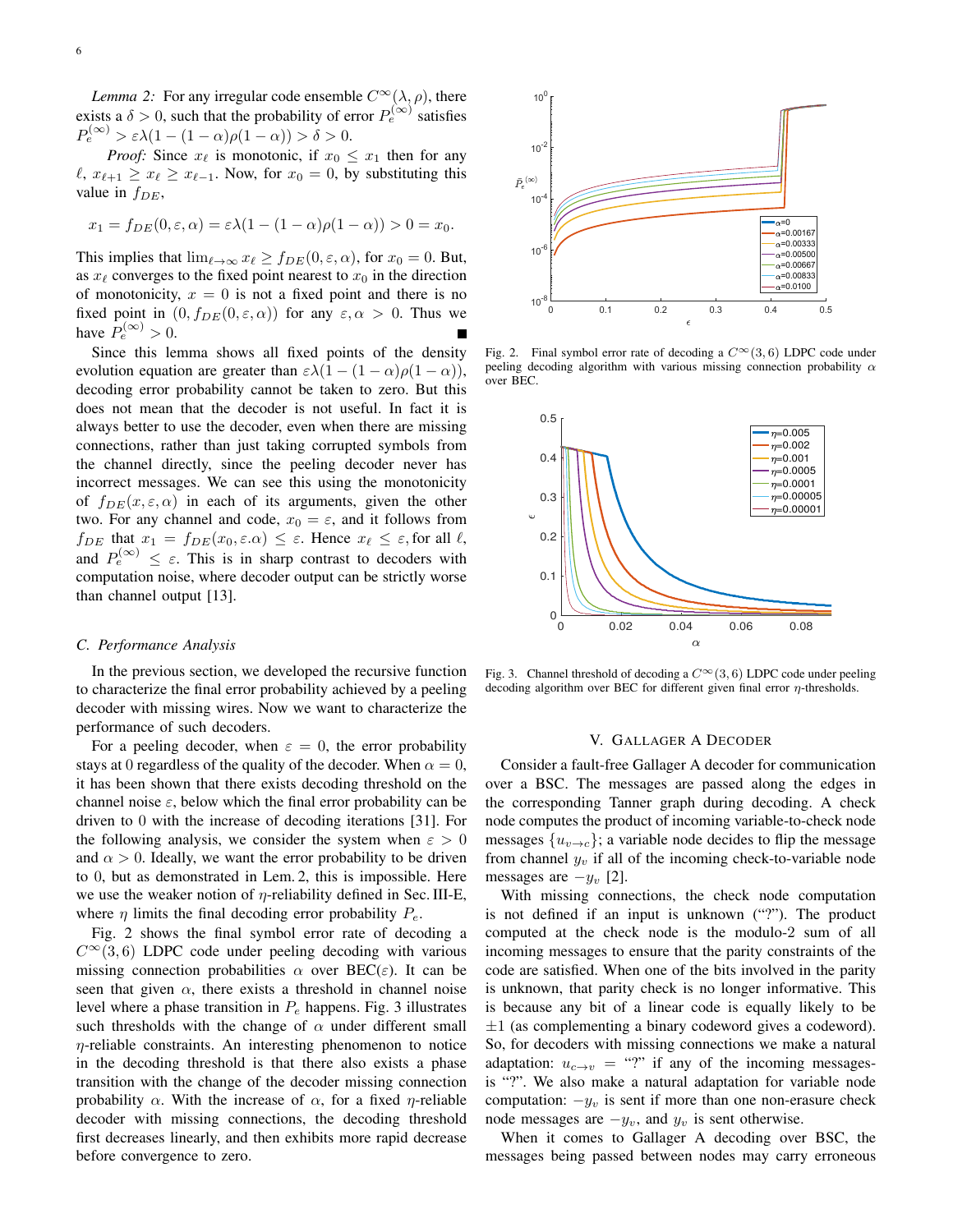*Lemma 2:* For any irregular code ensemble  $C^{\infty}(\lambda, \rho)$ , there exists a  $\delta > 0$ , such that the probability of error  $P_e^{(\infty)}$  satisfies  $P_e^{(\infty)} > \varepsilon \lambda (1 - (1 - \alpha) \rho (1 - \alpha)) > \delta > 0.$ 

*Proof:* Since  $x_{\ell}$  is monotonic, if  $x_0 \leq x_1$  then for any  $\ell$ ,  $x_{\ell+1} \geq x_{\ell} \geq x_{\ell-1}$ . Now, for  $x_0 = 0$ , by substituting this value in  $f_{DE}$ ,

$$
x_1 = f_{DE}(0, \varepsilon, \alpha) = \varepsilon \lambda (1 - (1 - \alpha) \rho (1 - \alpha)) > 0 = x_0.
$$

This implies that  $\lim_{\ell \to \infty} x_{\ell} \ge f_{DE}(0, \epsilon, \alpha)$ , for  $x_0 = 0$ . But, as  $x_{\ell}$  converges to the fixed point nearest to  $x_0$  in the direction of monotonicity,  $x = 0$  is not a fixed point and there is no fixed point in  $(0, f_{DE}(0, \varepsilon, \alpha))$  for any  $\varepsilon, \alpha > 0$ . Thus we have  $P_e^{(\infty)} > 0$ .

Since this lemma shows all fixed points of the density evolution equation are greater than  $\varepsilon \lambda(1-(1-\alpha)\rho(1-\alpha))$ , decoding error probability cannot be taken to zero. But this does not mean that the decoder is not useful. In fact it is always better to use the decoder, even when there are missing connections, rather than just taking corrupted symbols from the channel directly, since the peeling decoder never has incorrect messages. We can see this using the monotonicity of  $f_{DE}(x, \varepsilon, \alpha)$  in each of its arguments, given the other two. For any channel and code,  $x_0 = \varepsilon$ , and it follows from  $f_{DE}$  that  $x_1 = f_{DE}(x_0, \varepsilon \cdot \alpha) \leq \varepsilon$ . Hence  $x_\ell \leq \varepsilon$ , for all  $\ell$ , and  $P_e^{(\infty)} \leq \varepsilon$ . This is in sharp contrast to decoders with computation noise, where decoder output can be strictly worse than channel output [13].

## *C. Performance Analysis*

In the previous section, we developed the recursive function to characterize the final error probability achieved by a peeling decoder with missing wires. Now we want to characterize the performance of such decoders.

For a peeling decoder, when  $\varepsilon = 0$ , the error probability stays at 0 regardless of the quality of the decoder. When  $\alpha = 0$ , it has been shown that there exists decoding threshold on the channel noise  $\varepsilon$ , below which the final error probability can be driven to 0 with the increase of decoding iterations [31]. For the following analysis, we consider the system when  $\varepsilon > 0$ and  $\alpha > 0$ . Ideally, we want the error probability to be driven to 0, but as demonstrated in Lem. 2, this is impossible. Here we use the weaker notion of  $\eta$ -reliability defined in Sec. III-E, where  $\eta$  limits the final decoding error probability  $P_e$ .

Fig. 2 shows the final symbol error rate of decoding a  $C^{\infty}(3, 6)$  LDPC code under peeling decoding with various missing connection probabilities  $\alpha$  over BEC( $\varepsilon$ ). It can be seen that given  $\alpha$ , there exists a threshold in channel noise level where a phase transition in  $P_e$  happens. Fig. 3 illustrates such thresholds with the change of  $\alpha$  under different small  $\eta$ -reliable constraints. An interesting phenomenon to notice in the decoding threshold is that there also exists a phase transition with the change of the decoder missing connection probability  $\alpha$ . With the increase of  $\alpha$ , for a fixed *η*-reliable decoder with missing connections, the decoding threshold first decreases linearly, and then exhibits more rapid decrease before convergence to zero.



Fig. 2. Final symbol error rate of decoding a  $C^{\infty}(3, 6)$  LDPC code under peeling decoding algorithm with various missing connection probability  $\alpha$ over BEC.



Fig. 3. Channel threshold of decoding a  $C^{\infty}(3, 6)$  LDPC code under peeling decoding algorithm over BEC for different given final error  $\eta$ -thresholds.

#### V. GALLAGER A DECODER

Consider a fault-free Gallager A decoder for communication over a BSC. The messages are passed along the edges in the corresponding Tanner graph during decoding. A check node computes the product of incoming variable-to-check node messages  $\{u_{v\to c}\}\$ ; a variable node decides to flip the message from channel  $y_v$  if all of the incoming check-to-variable node messages are  $-y<sub>v</sub>$  [2].

With missing connections, the check node computation is not defined if an input is unknown ("?"). The product computed at the check node is the modulo-2 sum of all incoming messages to ensure that the parity constraints of the code are satisfied. When one of the bits involved in the parity is unknown, that parity check is no longer informative. This is because any bit of a linear code is equally likely to be  $\pm 1$  (as complementing a binary codeword gives a codeword). So, for decoders with missing connections we make a natural adaptation:  $u_{c \to v}$  = "?" if any of the incoming messagesis "?". We also make a natural adaptation for variable node computation:  $-y_v$  is sent if more than one non-erasure check node messages are  $-y_v$ , and  $y_v$  is sent otherwise.

When it comes to Gallager A decoding over BSC, the messages being passed between nodes may carry erroneous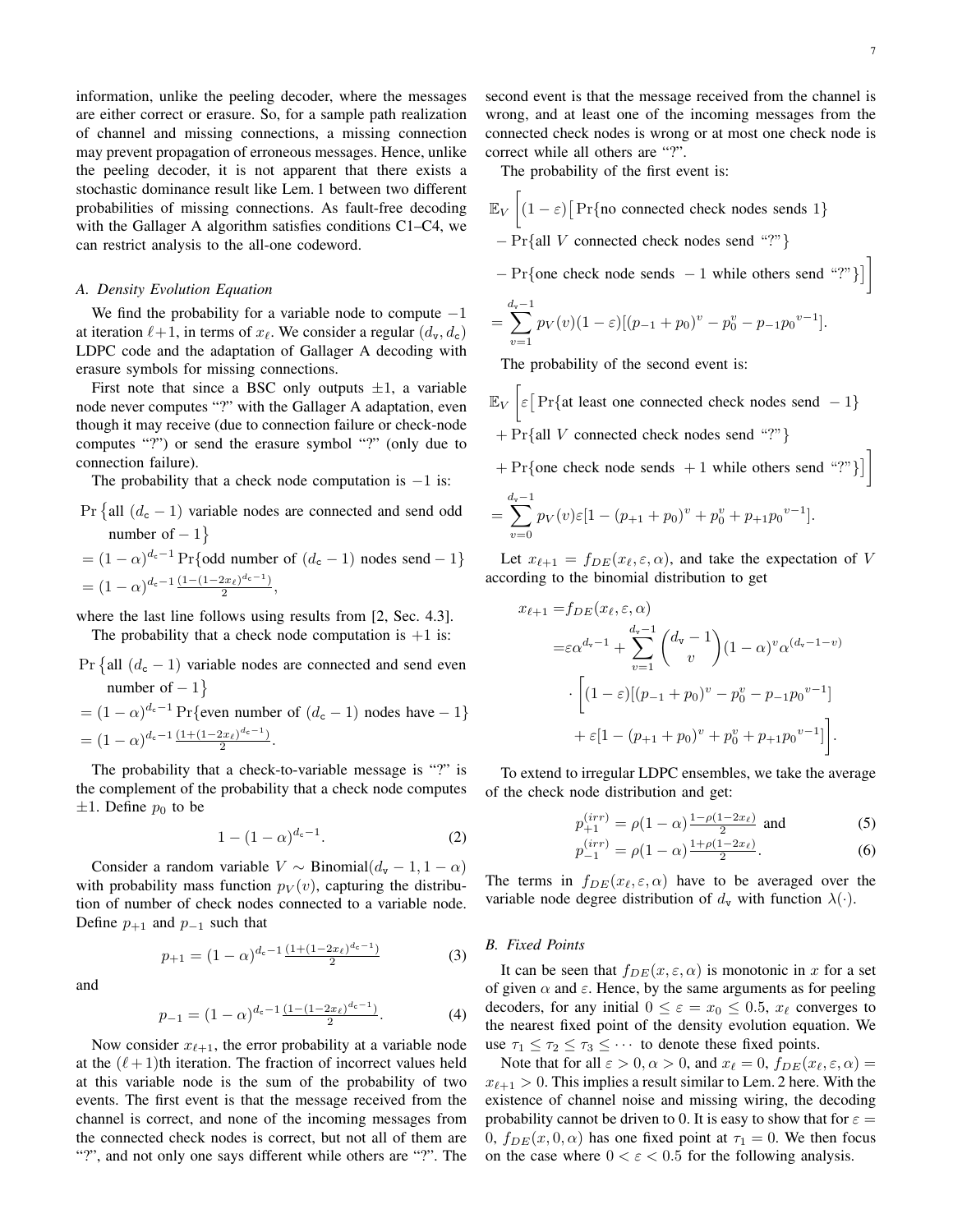information, unlike the peeling decoder, where the messages are either correct or erasure. So, for a sample path realization of channel and missing connections, a missing connection may prevent propagation of erroneous messages. Hence, unlike the peeling decoder, it is not apparent that there exists a stochastic dominance result like Lem. 1 between two different probabilities of missing connections. As fault-free decoding with the Gallager A algorithm satisfies conditions C1–C4, we can restrict analysis to the all-one codeword.

## *A. Density Evolution Equation*

We find the probability for a variable node to compute  $-1$ at iteration  $\ell+1$ , in terms of  $x_{\ell}$ . We consider a regular  $(d_{\mathbf{v}}, d_{\mathbf{c}})$ LDPC code and the adaptation of Gallager A decoding with erasure symbols for missing connections.

First note that since a BSC only outputs  $\pm 1$ , a variable node never computes "?" with the Gallager A adaptation, even though it may receive (due to connection failure or check-node computes "?") or send the erasure symbol "?" (only due to connection failure).

The probability that a check node computation is  $-1$  is:

- $Pr \{ all (d_c 1)$  variable nodes are connected and send odd number of  $-1$ }
- $= (1 \alpha)^{d_c 1} \Pr$  {odd number of  $(d_c 1)$  nodes send  $-1$ }  $=(1-\alpha)^{d_c-1}\frac{(1-(1-2x_\ell)^{d_c-1})}{2}$  $\frac{2x_{\ell}}{2},$

where the last line follows using results from [2, Sec. 4.3]. The probability that a check node computation is  $+1$  is:

Pr {all 
$$
(d_c - 1)
$$
 variable nodes are connected and send even  
number of  $-1$ }  
=  $(1 - \alpha)^{d_c-1}$  Pr{even number of  $(d_c - 1)$  nodes have  $-1$ }  
=  $(1 - \alpha)^{d_c-1} \frac{(1 + (1 - 2x_\ell)^{d_c-1})}{2}$ .

The probability that a check-to-variable message is "?" is the complement of the probability that a check node computes  $\pm 1$ . Define  $p_0$  to be

$$
1 - (1 - \alpha)^{d_c - 1}.
$$
 (2)

Consider a random variable  $V \sim Binomial(d_v - 1, 1 - \alpha)$ with probability mass function  $p_V(v)$ , capturing the distribution of number of check nodes connected to a variable node. Define  $p_{+1}$  and  $p_{-1}$  such that

$$
p_{+1} = (1 - \alpha)^{d_c - 1} \frac{(1 + (1 - 2x_\ell)^{d_c - 1})}{2} \tag{3}
$$

and

$$
p_{-1} = (1 - \alpha)^{d_c - 1} \frac{(1 - (1 - 2x_\ell)^{d_c - 1})}{2}.
$$
 (4)

Now consider  $x_{\ell+1}$ , the error probability at a variable node at the  $(\ell+1)$ th iteration. The fraction of incorrect values held at this variable node is the sum of the probability of two events. The first event is that the message received from the channel is correct, and none of the incoming messages from the connected check nodes is correct, but not all of them are "?", and not only one says different while others are "?". The second event is that the message received from the channel is wrong, and at least one of the incoming messages from the connected check nodes is wrong or at most one check node is correct while all others are "?".

The probability of the first event is:

- $\mathbb{E}_V \left[ (1 \varepsilon) \right] \text{Pr}\{\text{no connected check nodes sends } 1\}$ − Pr{all V connected check nodes send "?"}
- $-\Pr{\text{one check node sends } -1 \text{ while others send "?"} }$

$$
= \sum_{v=1}^{d_v-1} p_V(v)(1-\varepsilon)[(p_{-1}+p_0)^v - p_0^v - p_{-1}p_0^{v-1}].
$$

The probability of the second event is:

- $\mathbb{E}_V \left[ \varepsilon \middle| \text{Pr}\{\text{at least one connected check nodes send } -1 \} \right]$  $+ Pr{all V}$  connected check nodes send "?"}
- $+ Pr\{\text{one check node sends } + 1 \text{ while others send "?"}\}\]$

$$
= \sum_{v=0}^{d_v-1} p_V(v) \varepsilon [1 - (p_{+1} + p_0)^v + p_0^v + p_{+1}p_0^{v-1}].
$$

Let  $x_{\ell+1} = f_{DE}(x_{\ell}, \varepsilon, \alpha)$ , and take the expectation of V according to the binomial distribution to get

$$
x_{\ell+1} = f_{DE}(x_{\ell}, \varepsilon, \alpha)
$$
  
= $\varepsilon \alpha^{d_v-1} + \sum_{v=1}^{d_v-1} {d_v - 1 \choose v} (1 - \alpha)^v \alpha^{(d_v-1-v)}$   

$$
\cdot \left[ (1 - \varepsilon) [(p_{-1} + p_0)^v - p_0^v - p_{-1}p_0^{v-1}] + \varepsilon [1 - (p_{+1} + p_0)^v + p_0^v + p_{+1}p_0^{v-1}] \right].
$$

To extend to irregular LDPC ensembles, we take the average of the check node distribution and get:

$$
p_{+1}^{(irr)} = \rho(1 - \alpha) \frac{1 - \rho(1 - 2x_{\ell})}{2} \text{ and } (5)
$$

$$
p_{-1}^{(irr)} = \rho(1-\alpha) \frac{1+\rho(1-2x_{\ell})}{2}.
$$
\n(6)

The terms in  $f_{DE}(x_\ell, \varepsilon, \alpha)$  have to be averaged over the variable node degree distribution of  $d_v$  with function  $\lambda(\cdot)$ .

## *B. Fixed Points*

It can be seen that  $f_{DE}(x, \varepsilon, \alpha)$  is monotonic in x for a set of given  $\alpha$  and  $\varepsilon$ . Hence, by the same arguments as for peeling decoders, for any initial  $0 \le \varepsilon = x_0 \le 0.5$ ,  $x_\ell$  converges to the nearest fixed point of the density evolution equation. We use  $\tau_1 \leq \tau_2 \leq \tau_3 \leq \cdots$  to denote these fixed points.

Note that for all  $\varepsilon > 0$ ,  $\alpha > 0$ , and  $x_{\ell} = 0$ ,  $f_{DE}(x_{\ell}, \varepsilon, \alpha) =$  $x_{\ell+1} > 0$ . This implies a result similar to Lem. 2 here. With the existence of channel noise and missing wiring, the decoding probability cannot be driven to 0. It is easy to show that for  $\varepsilon =$ 0,  $f_{DE}(x, 0, \alpha)$  has one fixed point at  $\tau_1 = 0$ . We then focus on the case where  $0 < \varepsilon < 0.5$  for the following analysis.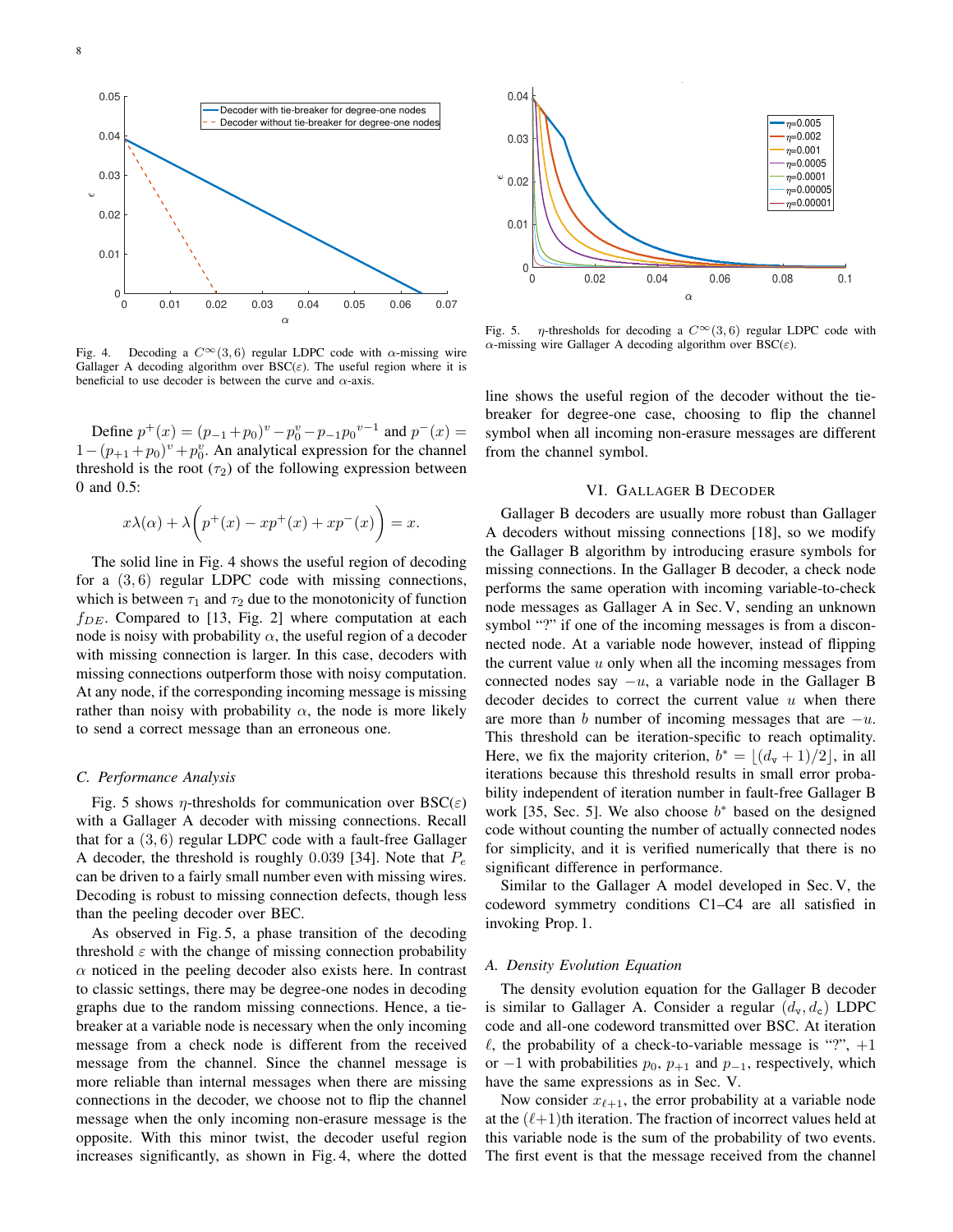



Fig. 4. Decoding a  $C^{\infty}(3, 6)$  regular LDPC code with  $\alpha$ -missing wire Gallager A decoding algorithm over  $BSC(\varepsilon)$ . The useful region where it is beneficial to use decoder is between the curve and  $\alpha$ -axis.

Define  $p^+(x) = (p_{-1} + p_0)^v - p_0^v - p_{-1}p_0^{v-1}$  and  $p^-(x) =$  $1 - (p_{+1} + p_0)^v + p_0^v$ . An analytical expression for the channel threshold is the root  $(\tau_2)$  of the following expression between 0 and 0.5:

$$
x\lambda(\alpha) + \lambda \bigg(p^+(x) - xp^+(x) + xp^-(x)\bigg) = x.
$$

The solid line in Fig. 4 shows the useful region of decoding for a  $(3, 6)$  regular LDPC code with missing connections, which is between  $\tau_1$  and  $\tau_2$  due to the monotonicity of function  $f_{DE}$ . Compared to [13, Fig. 2] where computation at each node is noisy with probability  $\alpha$ , the useful region of a decoder with missing connection is larger. In this case, decoders with missing connections outperform those with noisy computation. At any node, if the corresponding incoming message is missing rather than noisy with probability  $\alpha$ , the node is more likely to send a correct message than an erroneous one.

### *C. Performance Analysis*

Fig. 5 shows  $\eta$ -thresholds for communication over BSC( $\varepsilon$ ) with a Gallager A decoder with missing connections. Recall that for a  $(3, 6)$  regular LDPC code with a fault-free Gallager A decoder, the threshold is roughly 0.039 [34]. Note that  $P_e$ can be driven to a fairly small number even with missing wires. Decoding is robust to missing connection defects, though less than the peeling decoder over BEC.

As observed in Fig. 5, a phase transition of the decoding threshold  $\varepsilon$  with the change of missing connection probability  $\alpha$  noticed in the peeling decoder also exists here. In contrast to classic settings, there may be degree-one nodes in decoding graphs due to the random missing connections. Hence, a tiebreaker at a variable node is necessary when the only incoming message from a check node is different from the received message from the channel. Since the channel message is more reliable than internal messages when there are missing connections in the decoder, we choose not to flip the channel message when the only incoming non-erasure message is the opposite. With this minor twist, the decoder useful region increases significantly, as shown in Fig. 4, where the dotted



Fig. 5.  $\eta$ -thresholds for decoding a  $C^{\infty}(3, 6)$  regular LDPC code with  $\alpha$ -missing wire Gallager A decoding algorithm over BSC( $\varepsilon$ ).

line shows the useful region of the decoder without the tiebreaker for degree-one case, choosing to flip the channel symbol when all incoming non-erasure messages are different from the channel symbol.

#### VI. GALLAGER B DECODER

Gallager B decoders are usually more robust than Gallager A decoders without missing connections [18], so we modify the Gallager B algorithm by introducing erasure symbols for missing connections. In the Gallager B decoder, a check node performs the same operation with incoming variable-to-check node messages as Gallager A in Sec. V, sending an unknown symbol "?" if one of the incoming messages is from a disconnected node. At a variable node however, instead of flipping the current value  $u$  only when all the incoming messages from connected nodes say  $-u$ , a variable node in the Gallager B decoder decides to correct the current value  $u$  when there are more than b number of incoming messages that are  $-u$ . This threshold can be iteration-specific to reach optimality. Here, we fix the majority criterion,  $b^* = \lfloor (d_v + 1)/2 \rfloor$ , in all iterations because this threshold results in small error probability independent of iteration number in fault-free Gallager B work [35, Sec. 5]. We also choose  $b^*$  based on the designed code without counting the number of actually connected nodes for simplicity, and it is verified numerically that there is no significant difference in performance.

Similar to the Gallager A model developed in Sec. V, the codeword symmetry conditions C1–C4 are all satisfied in invoking Prop. 1.

#### *A. Density Evolution Equation*

The density evolution equation for the Gallager B decoder is similar to Gallager A. Consider a regular  $(d_v, d_c)$  LDPC code and all-one codeword transmitted over BSC. At iteration  $\ell$ , the probability of a check-to-variable message is "?",  $+1$ or  $-1$  with probabilities  $p_0$ ,  $p_{+1}$  and  $p_{-1}$ , respectively, which have the same expressions as in Sec. V.

Now consider  $x_{\ell+1}$ , the error probability at a variable node at the  $(\ell+1)$ th iteration. The fraction of incorrect values held at this variable node is the sum of the probability of two events. The first event is that the message received from the channel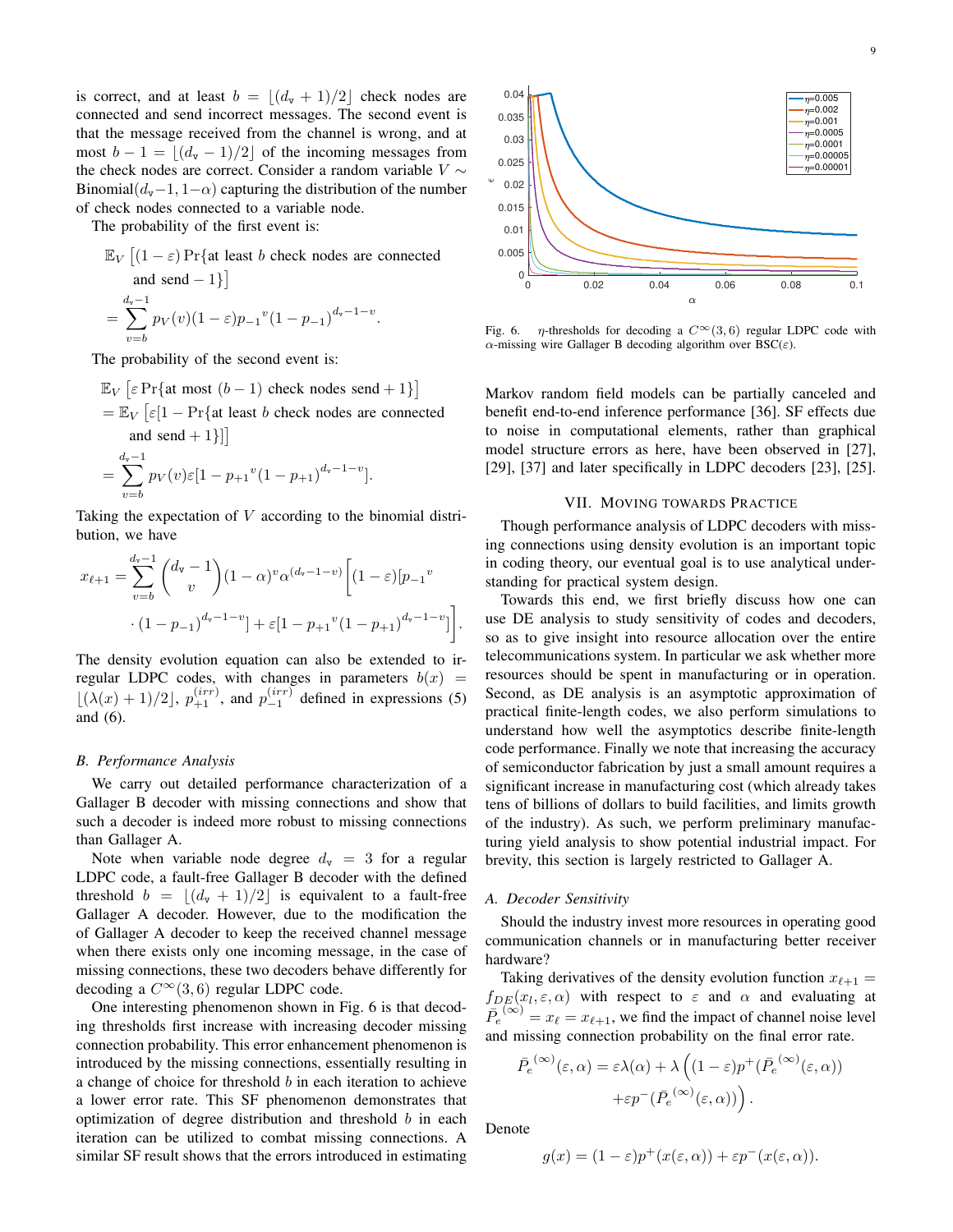is correct, and at least  $b = |(d_{\rm v} + 1)/2|$  check nodes are connected and send incorrect messages. The second event is that the message received from the channel is wrong, and at most  $b - 1 = |(d_{\rm v} - 1)/2|$  of the incoming messages from the check nodes are correct. Consider a random variable  $V \sim$ Binomial( $d_v$ −1, 1− $\alpha$ ) capturing the distribution of the number of check nodes connected to a variable node.

The probability of the first event is:

$$
\mathbb{E}_V \left[ (1 - \varepsilon) \Pr\{\text{at least } b \text{ check nodes are connected} \text{ and send } -1 \} \right]
$$
  
= 
$$
\sum_{v=b}^{d_v-1} p_V(v) (1 - \varepsilon) p_{-1}{}^v (1 - p_{-1})^{d_v - 1 - v}.
$$

The probability of the second event is:

$$
\mathbb{E}_V \left[ \varepsilon \Pr\{\text{at most } (b-1) \text{ check nodes send } + 1\} \right]
$$
  
=  $\mathbb{E}_V \left[ \varepsilon [1 - \Pr\{\text{at least } b \text{ check nodes are connected} \text{ and send } + 1\}]\right]$   
=  $\sum_{v=1}^{d_v - 1} p_V(v) \varepsilon [1 - p_{+1}^v (1 - p_{+1})^{d_v - 1 - v}].$ 

Taking the expectation of V according to the binomial distribution, we have

$$
x_{\ell+1} = \sum_{v=b}^{d_v-1} {d_v-1 \choose v} (1-\alpha)^v \alpha^{(d_v-1-v)} \left[ (1-\varepsilon)[p_{-1}^v \right. \\ \left. \qquad \qquad \cdot (1-p_{-1})^{d_v-1-v} \right] + \varepsilon [1-p_{+1}^v (1-p_{+1})^{d_v-1-v}] \Bigg].
$$

The density evolution equation can also be extended to irregular LDPC codes, with changes in parameters  $b(x)$  =  $\lfloor (\lambda(x) + 1)/2 \rfloor$ ,  $p_{+1}^{(irr)}$ , and  $p_{-1}^{(irr)}$  defined in expressions (5) and (6).

### *B. Performance Analysis*

 $v=b$ 

We carry out detailed performance characterization of a Gallager B decoder with missing connections and show that such a decoder is indeed more robust to missing connections than Gallager A.

Note when variable node degree  $d_v = 3$  for a regular LDPC code, a fault-free Gallager B decoder with the defined threshold  $b = \lfloor (d_{\text{v}} + 1)/2 \rfloor$  is equivalent to a fault-free Gallager A decoder. However, due to the modification the of Gallager A decoder to keep the received channel message when there exists only one incoming message, in the case of missing connections, these two decoders behave differently for decoding a  $C^{\infty}(3, 6)$  regular LDPC code.

One interesting phenomenon shown in Fig. 6 is that decoding thresholds first increase with increasing decoder missing connection probability. This error enhancement phenomenon is introduced by the missing connections, essentially resulting in a change of choice for threshold  $b$  in each iteration to achieve a lower error rate. This SF phenomenon demonstrates that optimization of degree distribution and threshold  $b$  in each iteration can be utilized to combat missing connections. A similar SF result shows that the errors introduced in estimating



Fig. 6.  $\eta$ -thresholds for decoding a  $C^{\infty}(3, 6)$  regular LDPC code with  $\alpha$ -missing wire Gallager B decoding algorithm over BSC( $\varepsilon$ ).

Markov random field models can be partially canceled and benefit end-to-end inference performance [36]. SF effects due to noise in computational elements, rather than graphical model structure errors as here, have been observed in [27], [29], [37] and later specifically in LDPC decoders [23], [25].

## VII. MOVING TOWARDS PRACTICE

Though performance analysis of LDPC decoders with missing connections using density evolution is an important topic in coding theory, our eventual goal is to use analytical understanding for practical system design.

Towards this end, we first briefly discuss how one can use DE analysis to study sensitivity of codes and decoders, so as to give insight into resource allocation over the entire telecommunications system. In particular we ask whether more resources should be spent in manufacturing or in operation. Second, as DE analysis is an asymptotic approximation of practical finite-length codes, we also perform simulations to understand how well the asymptotics describe finite-length code performance. Finally we note that increasing the accuracy of semiconductor fabrication by just a small amount requires a significant increase in manufacturing cost (which already takes tens of billions of dollars to build facilities, and limits growth of the industry). As such, we perform preliminary manufacturing yield analysis to show potential industrial impact. For brevity, this section is largely restricted to Gallager A.

### *A. Decoder Sensitivity*

Should the industry invest more resources in operating good communication channels or in manufacturing better receiver hardware?

Taking derivatives of the density evolution function  $x_{\ell+1} =$  $f_{DE}(x_l, \varepsilon, \alpha)$  with respect to  $\varepsilon$  and  $\alpha$  and evaluating at  $\overline{P_e^{(\infty)}} = x_\ell = x_{\ell+1}$ , we find the impact of channel noise level and missing connection probability on the final error rate.

$$
\begin{split} \bar{P_e}^{(\infty)}(\varepsilon,\alpha) &= \varepsilon \lambda(\alpha) + \lambda \left( (1-\varepsilon) p^+ (\bar{P_e}^{(\infty)}(\varepsilon,\alpha)) \right. \\ &\left. + \varepsilon p^- (\bar{P_e}^{(\infty)}(\varepsilon,\alpha)) \right). \end{split}
$$

Denote

$$
g(x) = (1 - \varepsilon)p^{+}(x(\varepsilon, \alpha)) + \varepsilon p^{-}(x(\varepsilon, \alpha)).
$$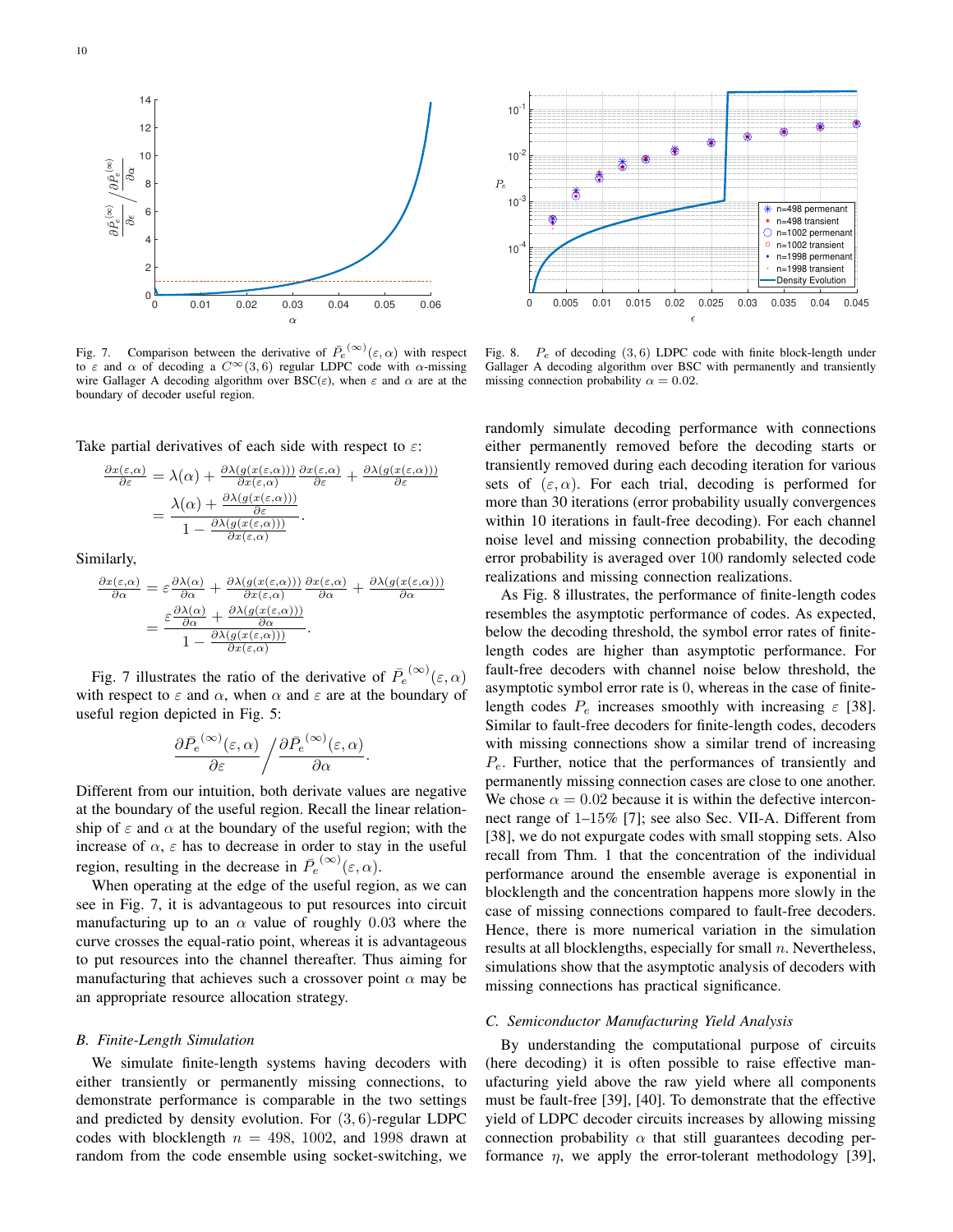

Fig. 7. Comparison between the derivative of  $\overline{P}_e^{(\infty)}(\varepsilon,\alpha)$  with respect to  $\varepsilon$  and  $\alpha$  of decoding a  $C^{\infty}(3, 6)$  regular LDPC code with α-missing wire Gallager A decoding algorithm over  $BSC(\varepsilon)$ , when  $\varepsilon$  and  $\alpha$  are at the boundary of decoder useful region.

Take partial derivatives of each side with respect to  $\varepsilon$ :

$$
\frac{\partial x(\varepsilon,\alpha)}{\partial \varepsilon} = \lambda(\alpha) + \frac{\partial \lambda(g(x(\varepsilon,\alpha)))}{\partial x(\varepsilon,\alpha)} \frac{\partial x(\varepsilon,\alpha)}{\partial \varepsilon} + \frac{\partial \lambda(g(x(\varepsilon,\alpha)))}{\partial \varepsilon}
$$

$$
= \frac{\lambda(\alpha) + \frac{\partial \lambda(g(x(\varepsilon,\alpha)))}{\partial \varepsilon}}{1 - \frac{\partial \lambda(g(x(\varepsilon,\alpha)))}{\partial x(\varepsilon,\alpha)}}.
$$

Similarly,

$$
\frac{\partial x(\varepsilon,\alpha)}{\partial \alpha} = \varepsilon \frac{\partial \lambda(\alpha)}{\partial \alpha} + \frac{\partial \lambda(g(x(\varepsilon,\alpha)))}{\partial x(\varepsilon,\alpha)} \frac{\partial x(\varepsilon,\alpha)}{\partial \alpha} + \frac{\partial \lambda(g(x(\varepsilon,\alpha)))}{\partial \alpha}
$$

$$
= \frac{\varepsilon \frac{\partial \lambda(\alpha)}{\partial \alpha} + \frac{\partial \lambda(g(x(\varepsilon,\alpha)))}{\partial \alpha}}{1 - \frac{\partial \lambda(g(x(\varepsilon,\alpha)))}{\partial x(\varepsilon,\alpha)}}.
$$

Fig. 7 illustrates the ratio of the derivative of  $\bar{P}_e^{(\infty)}(\varepsilon, \alpha)$ with respect to  $\varepsilon$  and  $\alpha$ , when  $\alpha$  and  $\varepsilon$  are at the boundary of useful region depicted in Fig. 5:

$$
\frac{\partial \bar{P_e}^{(\infty)}(\varepsilon,\alpha)}{\partial \varepsilon} \bigg/ \frac{\partial \bar{P_e}^{(\infty)}(\varepsilon,\alpha)}{\partial \alpha}.
$$

Different from our intuition, both derivate values are negative at the boundary of the useful region. Recall the linear relationship of  $\varepsilon$  and  $\alpha$  at the boundary of the useful region; with the increase of  $\alpha$ ,  $\varepsilon$  has to decrease in order to stay in the useful region, resulting in the decrease in  $\overline{P}_e^{(\infty)}(\varepsilon,\alpha)$ .

When operating at the edge of the useful region, as we can see in Fig. 7, it is advantageous to put resources into circuit manufacturing up to an  $\alpha$  value of roughly 0.03 where the curve crosses the equal-ratio point, whereas it is advantageous to put resources into the channel thereafter. Thus aiming for manufacturing that achieves such a crossover point  $\alpha$  may be an appropriate resource allocation strategy.

#### *B. Finite-Length Simulation*

We simulate finite-length systems having decoders with either transiently or permanently missing connections, to demonstrate performance is comparable in the two settings and predicted by density evolution. For (3, 6)-regular LDPC codes with blocklength  $n = 498, 1002,$  and 1998 drawn at random from the code ensemble using socket-switching, we



Fig. 8.  $P_e$  of decoding (3,6) LDPC code with finite block-length under Gallager A decoding algorithm over BSC with permanently and transiently missing connection probability  $\alpha = 0.02$ .

randomly simulate decoding performance with connections either permanently removed before the decoding starts or transiently removed during each decoding iteration for various sets of  $(\varepsilon, \alpha)$ . For each trial, decoding is performed for more than 30 iterations (error probability usually convergences within 10 iterations in fault-free decoding). For each channel noise level and missing connection probability, the decoding error probability is averaged over 100 randomly selected code realizations and missing connection realizations.

As Fig. 8 illustrates, the performance of finite-length codes resembles the asymptotic performance of codes. As expected, below the decoding threshold, the symbol error rates of finitelength codes are higher than asymptotic performance. For fault-free decoders with channel noise below threshold, the asymptotic symbol error rate is 0, whereas in the case of finitelength codes  $P_e$  increases smoothly with increasing  $\varepsilon$  [38]. Similar to fault-free decoders for finite-length codes, decoders with missing connections show a similar trend of increasing  $P_e$ . Further, notice that the performances of transiently and permanently missing connection cases are close to one another. We chose  $\alpha = 0.02$  because it is within the defective interconnect range of 1–15% [7]; see also Sec. VII-A. Different from [38], we do not expurgate codes with small stopping sets. Also recall from Thm. 1 that the concentration of the individual performance around the ensemble average is exponential in blocklength and the concentration happens more slowly in the case of missing connections compared to fault-free decoders. Hence, there is more numerical variation in the simulation results at all blocklengths, especially for small  $n$ . Nevertheless, simulations show that the asymptotic analysis of decoders with missing connections has practical significance.

#### *C. Semiconductor Manufacturing Yield Analysis*

By understanding the computational purpose of circuits (here decoding) it is often possible to raise effective manufacturing yield above the raw yield where all components must be fault-free [39], [40]. To demonstrate that the effective yield of LDPC decoder circuits increases by allowing missing connection probability  $\alpha$  that still guarantees decoding performance  $\eta$ , we apply the error-tolerant methodology [39],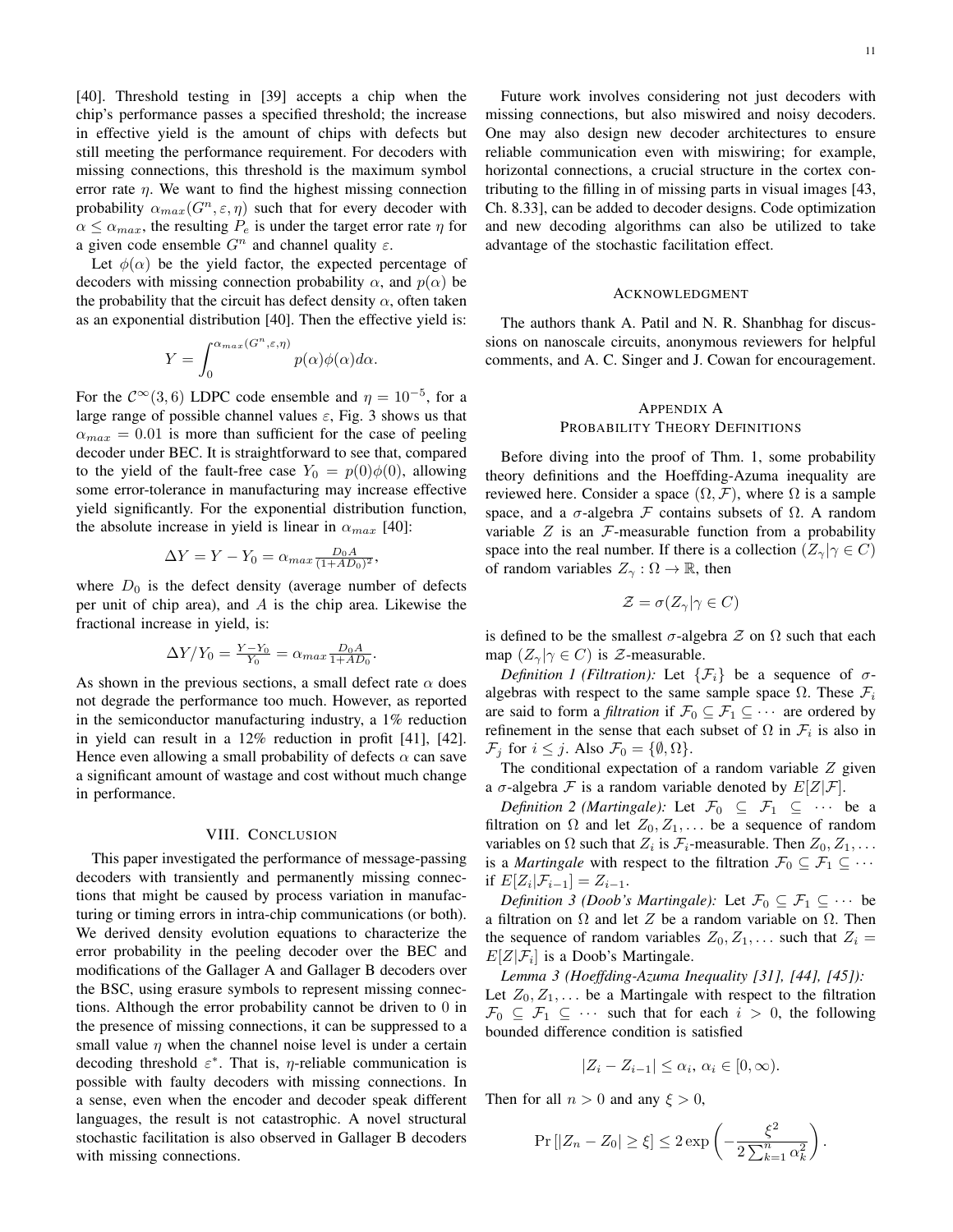[40]. Threshold testing in [39] accepts a chip when the chip's performance passes a specified threshold; the increase in effective yield is the amount of chips with defects but still meeting the performance requirement. For decoders with missing connections, this threshold is the maximum symbol error rate  $\eta$ . We want to find the highest missing connection probability  $\alpha_{max}(G^n, \varepsilon, \eta)$  such that for every decoder with  $\alpha \leq \alpha_{max}$ , the resulting  $P_e$  is under the target error rate  $\eta$  for a given code ensemble  $G<sup>n</sup>$  and channel quality  $\varepsilon$ .

Let  $\phi(\alpha)$  be the yield factor, the expected percentage of decoders with missing connection probability  $\alpha$ , and  $p(\alpha)$  be the probability that the circuit has defect density  $\alpha$ , often taken as an exponential distribution [40]. Then the effective yield is:

$$
Y = \int_0^{\alpha_{max}(G^n, \varepsilon, \eta)} p(\alpha) \phi(\alpha) d\alpha.
$$

For the  $\mathcal{C}^{\infty}(3,6)$  LDPC code ensemble and  $\eta = 10^{-5}$ , for a large range of possible channel values  $\varepsilon$ , Fig. 3 shows us that  $\alpha_{max} = 0.01$  is more than sufficient for the case of peeling decoder under BEC. It is straightforward to see that, compared to the yield of the fault-free case  $Y_0 = p(0)\phi(0)$ , allowing some error-tolerance in manufacturing may increase effective yield significantly. For the exponential distribution function, the absolute increase in yield is linear in  $\alpha_{max}$  [40]:

$$
\Delta Y = Y - Y_0 = \alpha_{max} \frac{D_0 A}{(1 + AD_0)^2},
$$

where  $D_0$  is the defect density (average number of defects per unit of chip area), and A is the chip area. Likewise the fractional increase in yield, is:

$$
\Delta Y/Y_0 = \frac{Y - Y_0}{Y_0} = \alpha_{max} \frac{D_0 A}{1 + AD_0}.
$$

As shown in the previous sections, a small defect rate  $\alpha$  does not degrade the performance too much. However, as reported in the semiconductor manufacturing industry, a 1% reduction in yield can result in a 12% reduction in profit [41], [42]. Hence even allowing a small probability of defects  $\alpha$  can save a significant amount of wastage and cost without much change in performance.

#### VIII. CONCLUSION

This paper investigated the performance of message-passing decoders with transiently and permanently missing connections that might be caused by process variation in manufacturing or timing errors in intra-chip communications (or both). We derived density evolution equations to characterize the error probability in the peeling decoder over the BEC and modifications of the Gallager A and Gallager B decoders over the BSC, using erasure symbols to represent missing connections. Although the error probability cannot be driven to 0 in the presence of missing connections, it can be suppressed to a small value  $\eta$  when the channel noise level is under a certain decoding threshold  $\varepsilon^*$ . That is,  $\eta$ -reliable communication is possible with faulty decoders with missing connections. In a sense, even when the encoder and decoder speak different languages, the result is not catastrophic. A novel structural stochastic facilitation is also observed in Gallager B decoders with missing connections.

Future work involves considering not just decoders with missing connections, but also miswired and noisy decoders. One may also design new decoder architectures to ensure reliable communication even with miswiring; for example, horizontal connections, a crucial structure in the cortex contributing to the filling in of missing parts in visual images [43, Ch. 8.33], can be added to decoder designs. Code optimization and new decoding algorithms can also be utilized to take advantage of the stochastic facilitation effect.

## ACKNOWLEDGMENT

The authors thank A. Patil and N. R. Shanbhag for discussions on nanoscale circuits, anonymous reviewers for helpful comments, and A. C. Singer and J. Cowan for encouragement.

# APPENDIX A PROBABILITY THEORY DEFINITIONS

Before diving into the proof of Thm. 1, some probability theory definitions and the Hoeffding-Azuma inequality are reviewed here. Consider a space  $(\Omega, \mathcal{F})$ , where  $\Omega$  is a sample space, and a  $\sigma$ -algebra F contains subsets of  $\Omega$ . A random variable  $Z$  is an  $\mathcal F$ -measurable function from a probability space into the real number. If there is a collection  $(Z_{\gamma}|\gamma \in C)$ of random variables  $Z_{\gamma} : \Omega \to \mathbb{R}$ , then

$$
\mathcal{Z} = \sigma(Z_{\gamma} | \gamma \in C)
$$

is defined to be the smallest  $\sigma$ -algebra  $\mathcal Z$  on  $\Omega$  such that each map  $(Z_{\gamma}|\gamma \in C)$  is  $\mathcal{Z}$ -measurable.

*Definition 1 (Filtration):* Let  $\{\mathcal{F}_i\}$  be a sequence of  $\sigma$ algebras with respect to the same sample space  $\Omega$ . These  $\mathcal{F}_i$ are said to form a *filtration* if  $\mathcal{F}_0 \subseteq \mathcal{F}_1 \subseteq \cdots$  are ordered by refinement in the sense that each subset of  $\Omega$  in  $\mathcal{F}_i$  is also in  $\mathcal{F}_j$  for  $i \leq j$ . Also  $\mathcal{F}_0 = \{\emptyset, \Omega\}.$ 

The conditional expectation of a random variable  $Z$  given a  $\sigma$ -algebra  $\mathcal F$  is a random variable denoted by  $E[Z|\mathcal F]$ .

*Definition 2 (Martingale):* Let  $\mathcal{F}_0 \subseteq \mathcal{F}_1 \subseteq \cdots$  be a filtration on  $\Omega$  and let  $Z_0, Z_1, \ldots$  be a sequence of random variables on  $\Omega$  such that  $Z_i$  is  $\mathcal{F}_i$ -measurable. Then  $Z_0, Z_1, \ldots$ is a *Martingale* with respect to the filtration  $\mathcal{F}_0 \subseteq \mathcal{F}_1 \subseteq \cdots$ if  $E[Z_i|\mathcal{F}_{i-1}] = Z_{i-1}.$ 

*Definition 3 (Doob's Martingale):* Let  $\mathcal{F}_0 \subseteq \mathcal{F}_1 \subseteq \cdots$  be a filtration on  $\Omega$  and let Z be a random variable on  $\Omega$ . Then the sequence of random variables  $Z_0, Z_1, \ldots$  such that  $Z_i =$  $E[Z|\mathcal{F}_i]$  is a Doob's Martingale.

*Lemma 3 (Hoeffding-Azuma Inequality [31], [44], [45]):* Let  $Z_0, Z_1, \ldots$  be a Martingale with respect to the filtration  $\mathcal{F}_0 \subseteq \mathcal{F}_1 \subseteq \cdots$  such that for each  $i > 0$ , the following bounded difference condition is satisfied

$$
|Z_i - Z_{i-1}| \leq \alpha_i, \, \alpha_i \in [0, \infty).
$$

Then for all  $n > 0$  and any  $\xi > 0$ ,

$$
\Pr\left[|Z_n - Z_0| \ge \xi\right] \le 2 \exp\left(-\frac{\xi^2}{2\sum_{k=1}^n \alpha_k^2}\right).
$$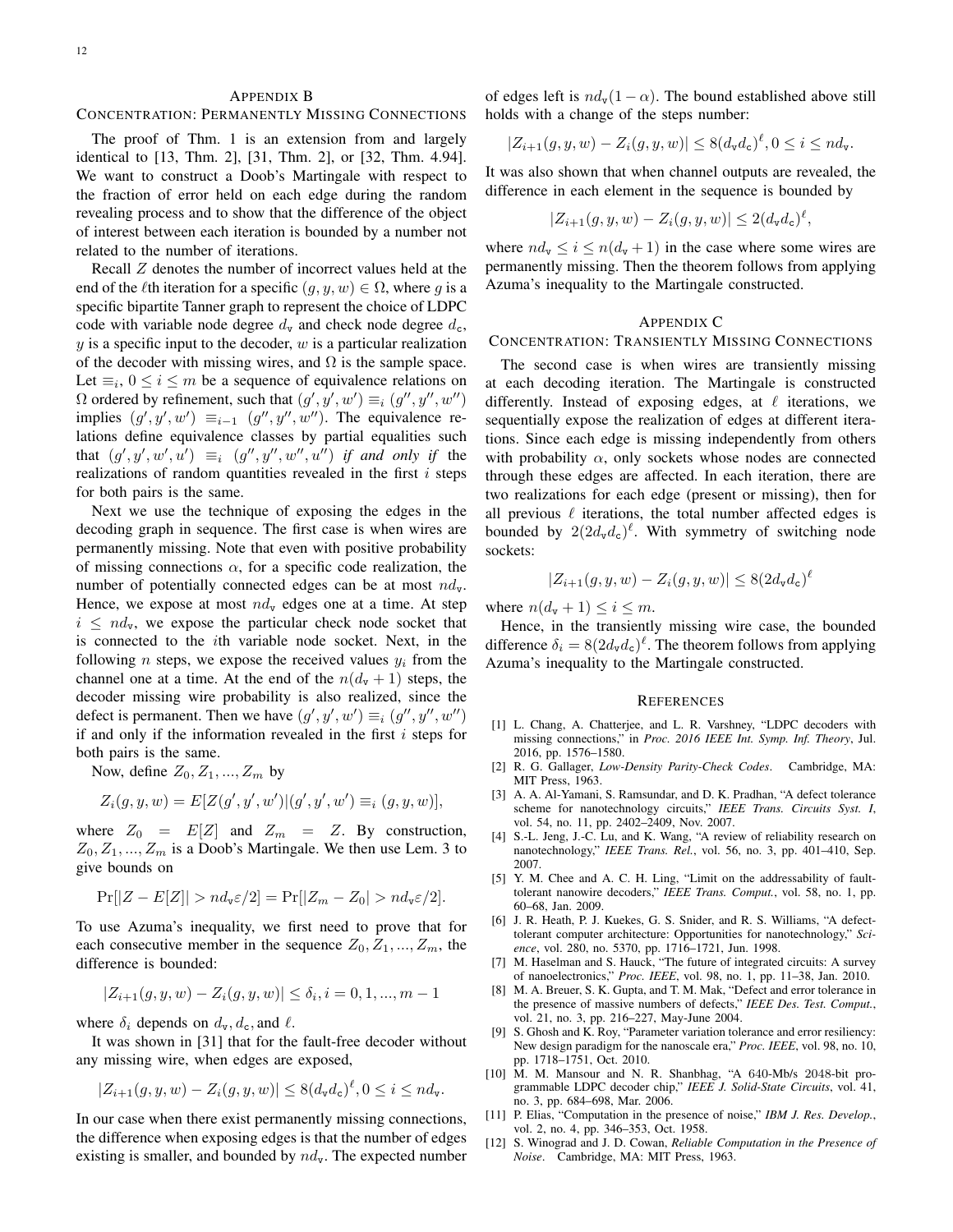## APPENDIX B

#### CONCENTRATION: PERMANENTLY MISSING CONNECTIONS

The proof of Thm. 1 is an extension from and largely identical to [13, Thm. 2], [31, Thm. 2], or [32, Thm. 4.94]. We want to construct a Doob's Martingale with respect to the fraction of error held on each edge during the random revealing process and to show that the difference of the object of interest between each iteration is bounded by a number not related to the number of iterations.

Recall Z denotes the number of incorrect values held at the end of the *l*<sup>th</sup> iteration for a specific  $(g, y, w) \in \Omega$ , where g is a specific bipartite Tanner graph to represent the choice of LDPC code with variable node degree  $d_v$  and check node degree  $d_c$ ,  $y$  is a specific input to the decoder,  $w$  is a particular realization of the decoder with missing wires, and  $\Omega$  is the sample space. Let  $\equiv_i$ ,  $0 \le i \le m$  be a sequence of equivalence relations on  $Ω$  ordered by refinement, such that  $(g', y', w') \equiv_i (g'', y'', w'')$ implies  $(g', y', w') \equiv_{i=1} (g'', y'', w'')$ . The equivalence relations define equivalence classes by partial equalities such that  $(g', y', w', u') \equiv_i (g'', y'', w'', u'')$  *if and only if the* realizations of random quantities revealed in the first  $i$  steps for both pairs is the same.

Next we use the technique of exposing the edges in the decoding graph in sequence. The first case is when wires are permanently missing. Note that even with positive probability of missing connections  $\alpha$ , for a specific code realization, the number of potentially connected edges can be at most  $nd_{v}$ . Hence, we expose at most  $nd_v$  edges one at a time. At step  $i \leq nd_{\nu}$ , we expose the particular check node socket that is connected to the ith variable node socket. Next, in the following *n* steps, we expose the received values  $y_i$  from the channel one at a time. At the end of the  $n(d_v + 1)$  steps, the decoder missing wire probability is also realized, since the defect is permanent. Then we have  $(g', y', w') \equiv_i (g'', y'', w'')$ if and only if the information revealed in the first  $i$  steps for both pairs is the same.

Now, define  $Z_0, Z_1, ..., Z_m$  by

$$
Z_i(g, y, w) = E[Z(g', y', w')|(g', y', w') \equiv_i (g, y, w)],
$$

where  $Z_0 = E[Z]$  and  $Z_m = Z$ . By construction,  $Z_0, Z_1, ..., Z_m$  is a Doob's Martingale. We then use Lem. 3 to give bounds on

$$
Pr[|Z - E[Z]| > nd_v \varepsilon/2] = Pr[|Z_m - Z_0| > nd_v \varepsilon/2].
$$

To use Azuma's inequality, we first need to prove that for each consecutive member in the sequence  $Z_0, Z_1, ..., Z_m$ , the difference is bounded:

$$
|Z_{i+1}(g, y, w) - Z_i(g, y, w)| \le \delta_i, i = 0, 1, ..., m - 1
$$

where  $\delta_i$  depends on  $d_{\mathbf{v}}, d_{\mathbf{c}}$ , and  $\ell$ .

It was shown in [31] that for the fault-free decoder without any missing wire, when edges are exposed,

$$
|Z_{i+1}(g,y,w)-Z_i(g,y,w)|\leq 8(d_vd_c)^{\ell}, 0\leq i\leq nd_v.
$$

In our case when there exist permanently missing connections, the difference when exposing edges is that the number of edges existing is smaller, and bounded by  $nd_{\mathbf{v}}$ . The expected number

of edges left is  $nd_{\rm v}(1-\alpha)$ . The bound established above still holds with a change of the steps number:

$$
|Z_{i+1}(g,y,w)-Z_i(g,y,w)|\leq 8(d_vd_c)^{\ell}, 0\leq i\leq nd_v.
$$

It was also shown that when channel outputs are revealed, the difference in each element in the sequence is bounded by

$$
|Z_{i+1}(g, y, w) - Z_i(g, y, w)| \le 2(d_v d_c)^{\ell},
$$

where  $nd_v \le i \le n(d_v + 1)$  in the case where some wires are permanently missing. Then the theorem follows from applying Azuma's inequality to the Martingale constructed.

#### APPENDIX C

# CONCENTRATION: TRANSIENTLY MISSING CONNECTIONS

The second case is when wires are transiently missing at each decoding iteration. The Martingale is constructed differently. Instead of exposing edges, at  $\ell$  iterations, we sequentially expose the realization of edges at different iterations. Since each edge is missing independently from others with probability  $\alpha$ , only sockets whose nodes are connected through these edges are affected. In each iteration, there are two realizations for each edge (present or missing), then for all previous  $\ell$  iterations, the total number affected edges is bounded by  $2(2d_{\rm v}d_{\rm c})^{\ell}$ . With symmetry of switching node sockets:

$$
|Z_{i+1}(g, y, w) - Z_i(g, y, w)| \le 8(2d_{\mathbf{v}}d_{\mathbf{c}})^{\ell}
$$

where  $n(d_v + 1) \leq i \leq m$ .

Hence, in the transiently missing wire case, the bounded difference  $\delta_i = 8(2d_{\rm v}d_{\rm c})^{\ell}$ . The theorem follows from applying Azuma's inequality to the Martingale constructed.

#### **REFERENCES**

- [1] L. Chang, A. Chatterjee, and L. R. Varshney, "LDPC decoders with missing connections," in *Proc. 2016 IEEE Int. Symp. Inf. Theory*, Jul. 2016, pp. 1576–1580.
- [2] R. G. Gallager, *Low-Density Parity-Check Codes*. Cambridge, MA: MIT Press, 1963.
- [3] A. A. Al-Yamani, S. Ramsundar, and D. K. Pradhan, "A defect tolerance scheme for nanotechnology circuits," *IEEE Trans. Circuits Syst. I*, vol. 54, no. 11, pp. 2402–2409, Nov. 2007.
- [4] S.-L. Jeng, J.-C. Lu, and K. Wang, "A review of reliability research on nanotechnology," *IEEE Trans. Rel.*, vol. 56, no. 3, pp. 401–410, Sep. 2007.
- [5] Y. M. Chee and A. C. H. Ling, "Limit on the addressability of faulttolerant nanowire decoders," *IEEE Trans. Comput.*, vol. 58, no. 1, pp. 60–68, Jan. 2009.
- [6] J. R. Heath, P. J. Kuekes, G. S. Snider, and R. S. Williams, "A defecttolerant computer architecture: Opportunities for nanotechnology," *Science*, vol. 280, no. 5370, pp. 1716–1721, Jun. 1998.
- [7] M. Haselman and S. Hauck, "The future of integrated circuits: A survey of nanoelectronics," *Proc. IEEE*, vol. 98, no. 1, pp. 11–38, Jan. 2010.
- [8] M. A. Breuer, S. K. Gupta, and T. M. Mak, "Defect and error tolerance in the presence of massive numbers of defects," *IEEE Des. Test. Comput.*, vol. 21, no. 3, pp. 216–227, May-June 2004.
- [9] S. Ghosh and K. Roy, "Parameter variation tolerance and error resiliency: New design paradigm for the nanoscale era," *Proc. IEEE*, vol. 98, no. 10, pp. 1718–1751, Oct. 2010.
- [10] M. M. Mansour and N. R. Shanbhag, "A 640-Mb/s 2048-bit programmable LDPC decoder chip," *IEEE J. Solid-State Circuits*, vol. 41, no. 3, pp. 684–698, Mar. 2006.
- [11] P. Elias, "Computation in the presence of noise," *IBM J. Res. Develop.*, vol. 2, no. 4, pp. 346–353, Oct. 1958.
- [12] S. Winograd and J. D. Cowan, *Reliable Computation in the Presence of Noise*. Cambridge, MA: MIT Press, 1963.